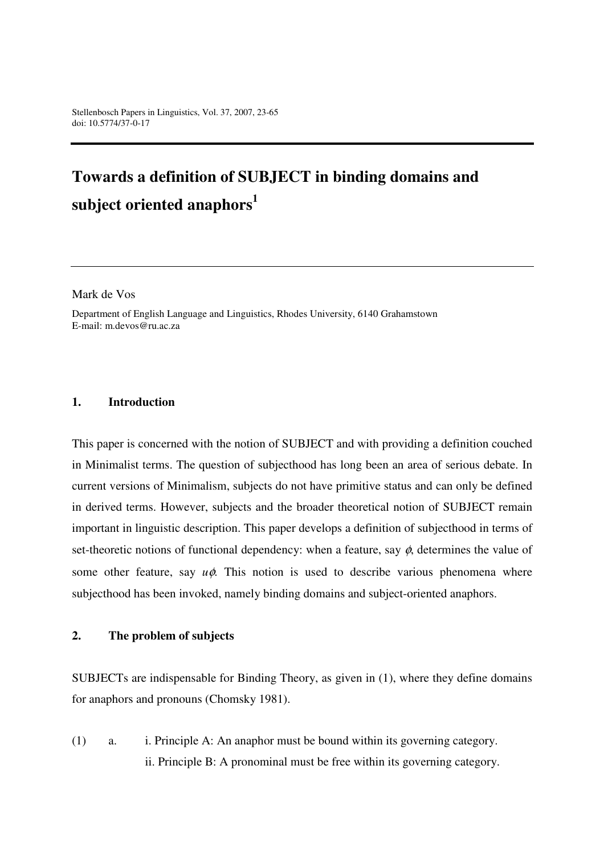# **Towards a definition of SUBJECT in binding domains and subject oriented anaphors<sup>1</sup>**

Mark de Vos

Department of English Language and Linguistics, Rhodes University, 6140 Grahamstown E-mail: m.devos@ru.ac.za

#### **1. Introduction**

This paper is concerned with the notion of SUBJECT and with providing a definition couched in Minimalist terms. The question of subjecthood has long been an area of serious debate. In current versions of Minimalism, subjects do not have primitive status and can only be defined in derived terms. However, subjects and the broader theoretical notion of SUBJECT remain important in linguistic description. This paper develops a definition of subjecthood in terms of set-theoretic notions of functional dependency: when a feature, say  $\phi$ , determines the value of some other feature, say *u*φ. This notion is used to describe various phenomena where subjecthood has been invoked, namely binding domains and subject-oriented anaphors.

#### **2. The problem of subjects**

SUBJECTs are indispensable for Binding Theory, as given in (1), where they define domains for anaphors and pronouns (Chomsky 1981).

(1) a. i. Principle A: An anaphor must be bound within its governing category. ii. Principle B: A pronominal must be free within its governing category.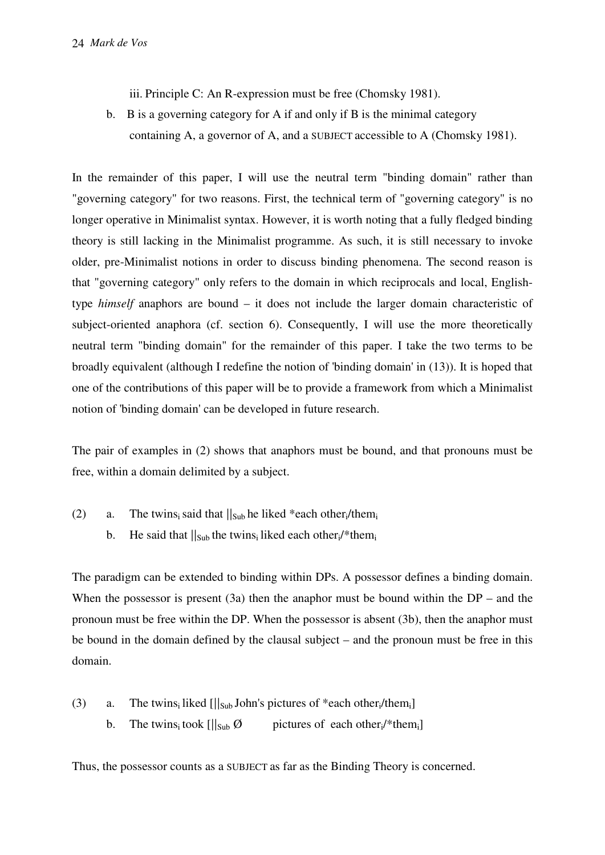iii. Principle C: An R-expression must be free (Chomsky 1981).

 b. B is a governing category for A if and only if B is the minimal category containing A, a governor of A, and a SUBJECT accessible to A (Chomsky 1981).

In the remainder of this paper, I will use the neutral term "binding domain" rather than "governing category" for two reasons. First, the technical term of "governing category" is no longer operative in Minimalist syntax. However, it is worth noting that a fully fledged binding theory is still lacking in the Minimalist programme. As such, it is still necessary to invoke older, pre-Minimalist notions in order to discuss binding phenomena. The second reason is that "governing category" only refers to the domain in which reciprocals and local, Englishtype *himself* anaphors are bound – it does not include the larger domain characteristic of subject-oriented anaphora (cf. section 6). Consequently, I will use the more theoretically neutral term "binding domain" for the remainder of this paper. I take the two terms to be broadly equivalent (although I redefine the notion of 'binding domain' in (13)). It is hoped that one of the contributions of this paper will be to provide a framework from which a Minimalist notion of 'binding domain' can be developed in future research.

The pair of examples in (2) shows that anaphors must be bound, and that pronouns must be free, within a domain delimited by a subject.

- (2) a. The twins<sub>i</sub> said that  $||_{Sub}$  he liked \*each other<sub>i</sub>/them<sub>i</sub>
	- b. He said that  $||_{Sub}$  the twins<sub>i</sub> liked each other<sub>i</sub>/\*them<sub>i</sub>

The paradigm can be extended to binding within DPs. A possessor defines a binding domain. When the possessor is present  $(3a)$  then the anaphor must be bound within the DP – and the pronoun must be free within the DP. When the possessor is absent (3b), then the anaphor must be bound in the domain defined by the clausal subject – and the pronoun must be free in this domain.

- (3) a. The twins<sub>i</sub> liked  $\frac{||\mathbf{x}_0||}{||\mathbf{x}_1||}$  John's pictures of \*each other<sub>i</sub>/them<sub>i</sub>
	- b. The twins<sub>i</sub> took  $\left[\frac{\|S_{\text{ub}}\emptyset}{\|S_{\text{ub}}\emptyset}\right]$  pictures of each other<sub>i</sub>/\*them<sub>i</sub>

Thus, the possessor counts as a SUBJECT as far as the Binding Theory is concerned.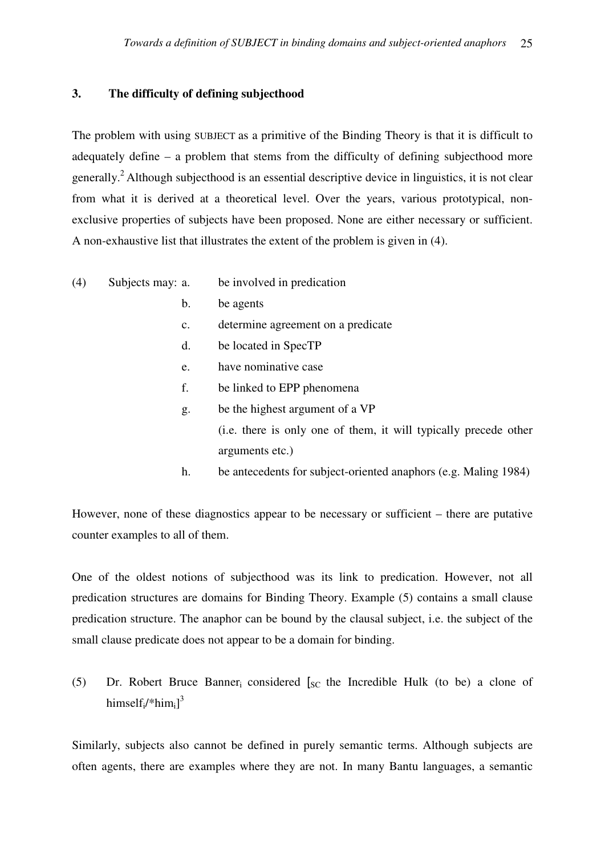# **3. The difficulty of defining subjecthood**

The problem with using SUBJECT as a primitive of the Binding Theory is that it is difficult to adequately define – a problem that stems from the difficulty of defining subjecthood more generally.<sup>2</sup> Although subjecthood is an essential descriptive device in linguistics, it is not clear from what it is derived at a theoretical level. Over the years, various prototypical, nonexclusive properties of subjects have been proposed. None are either necessary or sufficient. A non-exhaustive list that illustrates the extent of the problem is given in (4).

- (4) Subjects may: a. be involved in predication
	- b. be agents
	- c. determine agreement on a predicate
	- d. be located in SpecTP
	- e. have nominative case
	- f. be linked to EPP phenomena
	- g. be the highest argument of a VP (i.e. there is only one of them, it will typically precede other arguments etc.)
	- h. be antecedents for subject-oriented anaphors (e.g. Maling 1984)

However, none of these diagnostics appear to be necessary or sufficient – there are putative counter examples to all of them.

One of the oldest notions of subjecthood was its link to predication. However, not all predication structures are domains for Binding Theory. Example (5) contains a small clause predication structure. The anaphor can be bound by the clausal subject, i.e. the subject of the small clause predicate does not appear to be a domain for binding.

(5) Dr. Robert Bruce Banner<sub>i</sub> considered  $\int_{SC}$  the Incredible Hulk (to be) a clone of himself<sub>i</sub>/\*him<sub>i</sub>]<sup>3</sup>

Similarly, subjects also cannot be defined in purely semantic terms. Although subjects are often agents, there are examples where they are not. In many Bantu languages, a semantic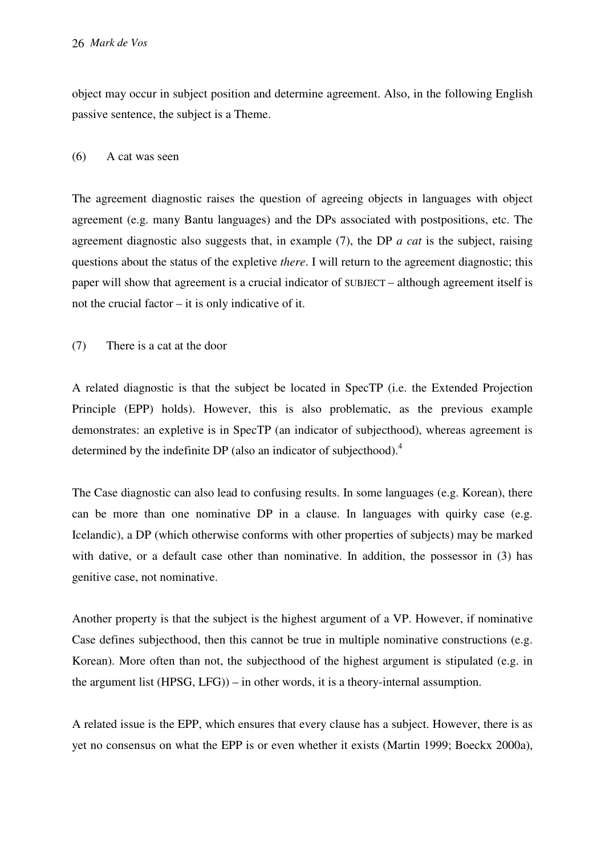object may occur in subject position and determine agreement. Also, in the following English passive sentence, the subject is a Theme.

#### (6) A cat was seen

The agreement diagnostic raises the question of agreeing objects in languages with object agreement (e.g. many Bantu languages) and the DPs associated with postpositions, etc. The agreement diagnostic also suggests that, in example (7), the DP *a cat* is the subject, raising questions about the status of the expletive *there*. I will return to the agreement diagnostic; this paper will show that agreement is a crucial indicator of SUBJECT – although agreement itself is not the crucial factor – it is only indicative of it.

(7) There is a cat at the door

A related diagnostic is that the subject be located in SpecTP (i.e. the Extended Projection Principle (EPP) holds). However, this is also problematic, as the previous example demonstrates: an expletive is in SpecTP (an indicator of subjecthood), whereas agreement is determined by the indefinite DP (also an indicator of subjecthood).<sup>4</sup>

The Case diagnostic can also lead to confusing results. In some languages (e.g. Korean), there can be more than one nominative DP in a clause. In languages with quirky case (e.g. Icelandic), a DP (which otherwise conforms with other properties of subjects) may be marked with dative, or a default case other than nominative. In addition, the possessor in (3) has genitive case, not nominative.

Another property is that the subject is the highest argument of a VP. However, if nominative Case defines subjecthood, then this cannot be true in multiple nominative constructions (e.g. Korean). More often than not, the subjecthood of the highest argument is stipulated (e.g. in the argument list (HPSG, LFG)) – in other words, it is a theory-internal assumption.

A related issue is the EPP, which ensures that every clause has a subject. However, there is as yet no consensus on what the EPP is or even whether it exists (Martin 1999; Boeckx 2000a),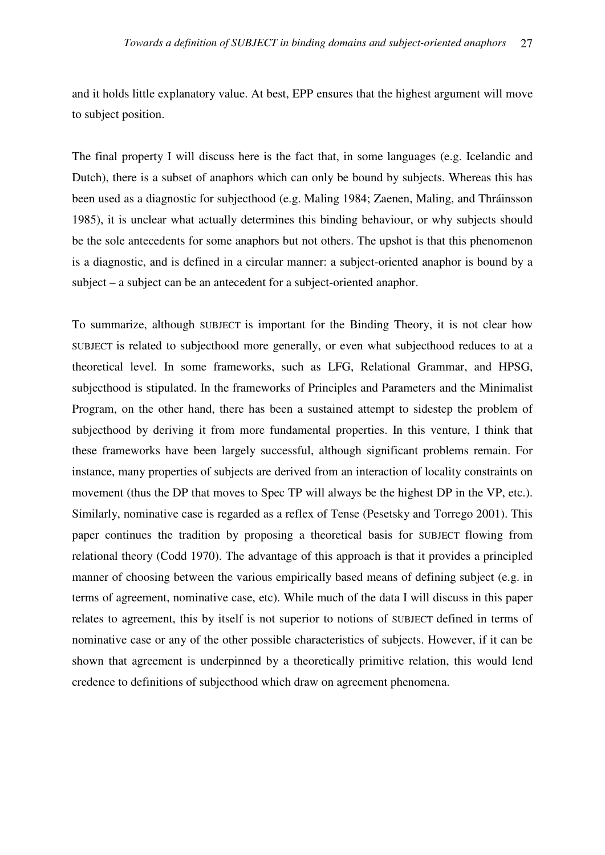and it holds little explanatory value. At best, EPP ensures that the highest argument will move to subject position.

The final property I will discuss here is the fact that, in some languages (e.g. Icelandic and Dutch), there is a subset of anaphors which can only be bound by subjects. Whereas this has been used as a diagnostic for subjecthood (e.g. Maling 1984; Zaenen, Maling, and Thráinsson 1985), it is unclear what actually determines this binding behaviour, or why subjects should be the sole antecedents for some anaphors but not others. The upshot is that this phenomenon is a diagnostic, and is defined in a circular manner: a subject-oriented anaphor is bound by a subject – a subject can be an antecedent for a subject-oriented anaphor.

To summarize, although SUBJECT is important for the Binding Theory, it is not clear how SUBJECT is related to subjecthood more generally, or even what subjecthood reduces to at a theoretical level. In some frameworks, such as LFG, Relational Grammar, and HPSG, subjecthood is stipulated. In the frameworks of Principles and Parameters and the Minimalist Program, on the other hand, there has been a sustained attempt to sidestep the problem of subjecthood by deriving it from more fundamental properties. In this venture, I think that these frameworks have been largely successful, although significant problems remain. For instance, many properties of subjects are derived from an interaction of locality constraints on movement (thus the DP that moves to Spec TP will always be the highest DP in the VP, etc.). Similarly, nominative case is regarded as a reflex of Tense (Pesetsky and Torrego 2001). This paper continues the tradition by proposing a theoretical basis for SUBJECT flowing from relational theory (Codd 1970). The advantage of this approach is that it provides a principled manner of choosing between the various empirically based means of defining subject (e.g. in terms of agreement, nominative case, etc). While much of the data I will discuss in this paper relates to agreement, this by itself is not superior to notions of SUBJECT defined in terms of nominative case or any of the other possible characteristics of subjects. However, if it can be shown that agreement is underpinned by a theoretically primitive relation, this would lend credence to definitions of subjecthood which draw on agreement phenomena.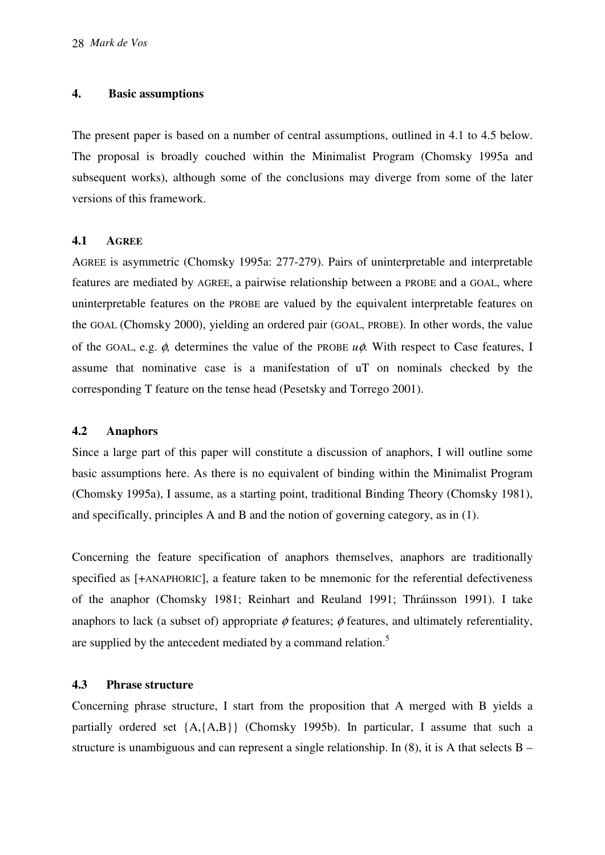#### **4. Basic assumptions**

The present paper is based on a number of central assumptions, outlined in 4.1 to 4.5 below. The proposal is broadly couched within the Minimalist Program (Chomsky 1995a and subsequent works), although some of the conclusions may diverge from some of the later versions of this framework.

## **4.1 AGREE**

AGREE is asymmetric (Chomsky 1995a: 277-279). Pairs of uninterpretable and interpretable features are mediated by AGREE, a pairwise relationship between a PROBE and a GOAL, where uninterpretable features on the PROBE are valued by the equivalent interpretable features on the GOAL (Chomsky 2000), yielding an ordered pair (GOAL, PROBE). In other words, the value of the GOAL, e.g. φ, determines the value of the PROBE *u*φ. With respect to Case features, I assume that nominative case is a manifestation of uT on nominals checked by the corresponding T feature on the tense head (Pesetsky and Torrego 2001).

# **4.2 Anaphors**

Since a large part of this paper will constitute a discussion of anaphors, I will outline some basic assumptions here. As there is no equivalent of binding within the Minimalist Program (Chomsky 1995a), I assume, as a starting point, traditional Binding Theory (Chomsky 1981), and specifically, principles A and B and the notion of governing category, as in (1).

Concerning the feature specification of anaphors themselves, anaphors are traditionally specified as [+ANAPHORIC], a feature taken to be mnemonic for the referential defectiveness of the anaphor (Chomsky 1981; Reinhart and Reuland 1991; Thráinsson 1991). I take anaphors to lack (a subset of) appropriate  $\phi$  features;  $\phi$  features, and ultimately referentiality, are supplied by the antecedent mediated by a command relation.<sup>5</sup>

# **4.3 Phrase structure**

Concerning phrase structure, I start from the proposition that A merged with B yields a partially ordered set {A,{A,B}} (Chomsky 1995b). In particular, I assume that such a structure is unambiguous and can represent a single relationship. In (8), it is A that selects B –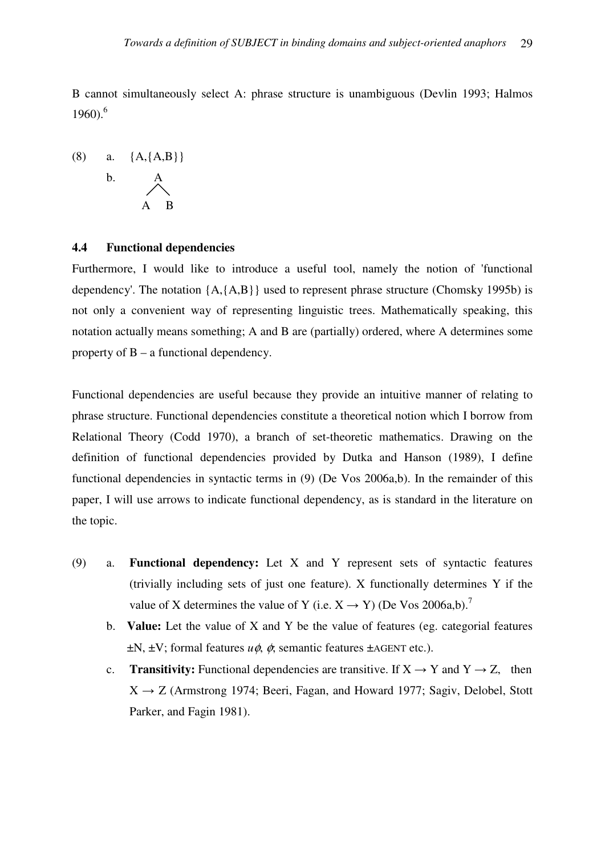B cannot simultaneously select A: phrase structure is unambiguous (Devlin 1993; Halmos  $1960$ .<sup>6</sup>

(8) a. 
$$
\{A, \{A, B\}\}\
$$
  
b. A  
A B

#### **4.4 Functional dependencies**

Furthermore, I would like to introduce a useful tool, namely the notion of 'functional dependency'. The notation  ${A, {A, B}}$  used to represent phrase structure (Chomsky 1995b) is not only a convenient way of representing linguistic trees. Mathematically speaking, this notation actually means something; A and B are (partially) ordered, where A determines some property of B – a functional dependency.

Functional dependencies are useful because they provide an intuitive manner of relating to phrase structure. Functional dependencies constitute a theoretical notion which I borrow from Relational Theory (Codd 1970), a branch of set-theoretic mathematics. Drawing on the definition of functional dependencies provided by Dutka and Hanson (1989), I define functional dependencies in syntactic terms in (9) (De Vos 2006a,b). In the remainder of this paper, I will use arrows to indicate functional dependency, as is standard in the literature on the topic.

- (9) a. **Functional dependency:** Let X and Y represent sets of syntactic features (trivially including sets of just one feature). X functionally determines Y if the value of X determines the value of Y (i.e.  $X \rightarrow Y$ ) (De Vos 2006a,b).<sup>7</sup>
	- b. **Value:** Let the value of X and Y be the value of features (eg. categorial features ±N, ±V; formal features *u*φ, φ; semantic features ±AGENT etc.).
	- c. **Transitivity:** Functional dependencies are transitive. If  $X \rightarrow Y$  and  $Y \rightarrow Z$ , then  $X \rightarrow Z$  (Armstrong 1974; Beeri, Fagan, and Howard 1977; Sagiv, Delobel, Stott Parker, and Fagin 1981).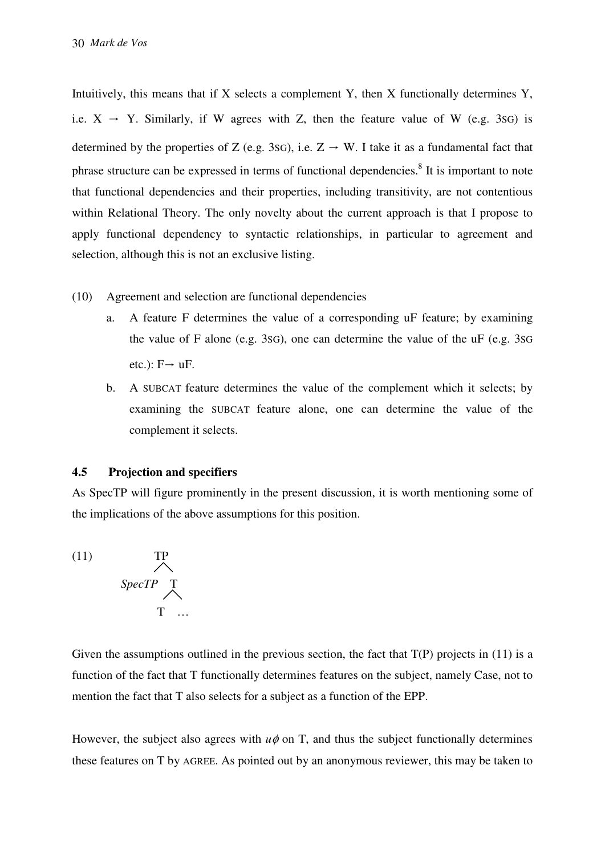Intuitively, this means that if X selects a complement Y, then X functionally determines Y, i.e.  $X \rightarrow Y$ . Similarly, if W agrees with Z, then the feature value of W (e.g. 3sG) is determined by the properties of Z (e.g. 3sG), i.e.  $Z \rightarrow W$ . I take it as a fundamental fact that phrase structure can be expressed in terms of functional dependencies.<sup>8</sup> It is important to note that functional dependencies and their properties, including transitivity, are not contentious within Relational Theory. The only novelty about the current approach is that I propose to apply functional dependency to syntactic relationships, in particular to agreement and selection, although this is not an exclusive listing.

- (10) Agreement and selection are functional dependencies
	- a. A feature F determines the value of a corresponding uF feature; by examining the value of F alone (e.g. 3SG), one can determine the value of the uF (e.g. 3SG etc.):  $F \rightarrow uF$ .
	- b. A SUBCAT feature determines the value of the complement which it selects; by examining the SUBCAT feature alone, one can determine the value of the complement it selects.

# **4.5 Projection and specifiers**

As SpecTP will figure prominently in the present discussion, it is worth mentioning some of the implications of the above assumptions for this position.



Given the assumptions outlined in the previous section, the fact that  $T(P)$  projects in (11) is a function of the fact that T functionally determines features on the subject, namely Case, not to mention the fact that T also selects for a subject as a function of the EPP.

However, the subject also agrees with  $u\phi$  on T, and thus the subject functionally determines these features on T by AGREE. As pointed out by an anonymous reviewer, this may be taken to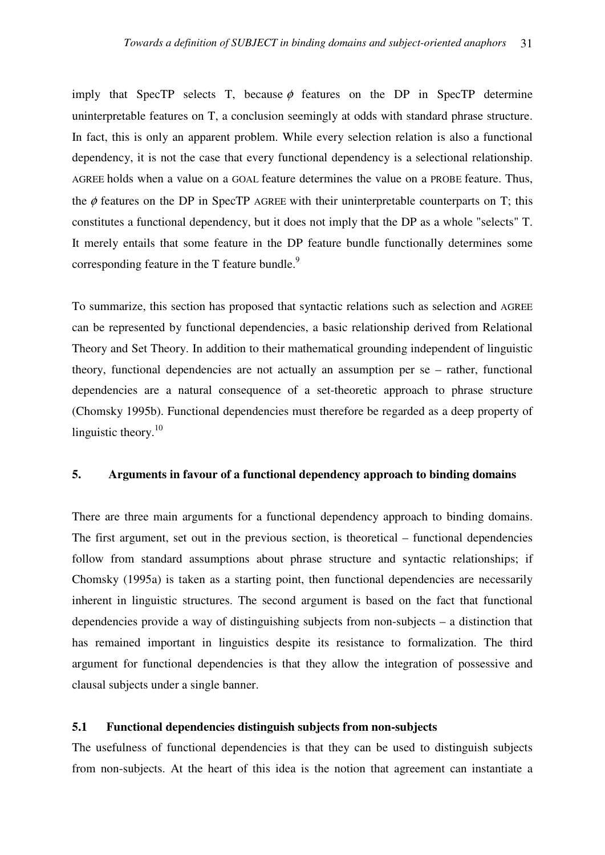imply that SpecTP selects T, because  $\phi$  features on the DP in SpecTP determine uninterpretable features on T, a conclusion seemingly at odds with standard phrase structure. In fact, this is only an apparent problem. While every selection relation is also a functional dependency, it is not the case that every functional dependency is a selectional relationship. AGREE holds when a value on a GOAL feature determines the value on a PROBE feature. Thus, the  $\phi$  features on the DP in SpecTP AGREE with their uninterpretable counterparts on T; this constitutes a functional dependency, but it does not imply that the DP as a whole "selects" T. It merely entails that some feature in the DP feature bundle functionally determines some corresponding feature in the  $T$  feature bundle.<sup>9</sup>

To summarize, this section has proposed that syntactic relations such as selection and AGREE can be represented by functional dependencies, a basic relationship derived from Relational Theory and Set Theory. In addition to their mathematical grounding independent of linguistic theory, functional dependencies are not actually an assumption per se – rather, functional dependencies are a natural consequence of a set-theoretic approach to phrase structure (Chomsky 1995b). Functional dependencies must therefore be regarded as a deep property of linguistic theory. $10$ 

## **5. Arguments in favour of a functional dependency approach to binding domains**

There are three main arguments for a functional dependency approach to binding domains. The first argument, set out in the previous section, is theoretical – functional dependencies follow from standard assumptions about phrase structure and syntactic relationships; if Chomsky (1995a) is taken as a starting point, then functional dependencies are necessarily inherent in linguistic structures. The second argument is based on the fact that functional dependencies provide a way of distinguishing subjects from non-subjects – a distinction that has remained important in linguistics despite its resistance to formalization. The third argument for functional dependencies is that they allow the integration of possessive and clausal subjects under a single banner.

# **5.1 Functional dependencies distinguish subjects from non-subjects**

The usefulness of functional dependencies is that they can be used to distinguish subjects from non-subjects. At the heart of this idea is the notion that agreement can instantiate a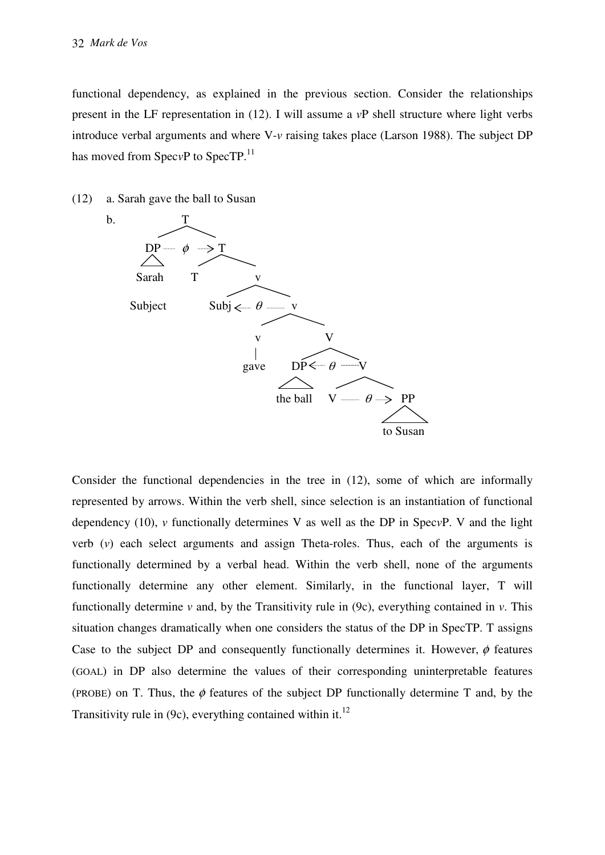functional dependency, as explained in the previous section. Consider the relationships present in the LF representation in (12). I will assume a *v*P shell structure where light verbs introduce verbal arguments and where V-*v* raising takes place (Larson 1988). The subject DP has moved from Spec<sub>*v*P</sub> to Spec<sub>TP</sub>.<sup>11</sup>

(12) a. Sarah gave the ball to Susan



Consider the functional dependencies in the tree in (12), some of which are informally represented by arrows. Within the verb shell, since selection is an instantiation of functional dependency (10), *v* functionally determines V as well as the DP in Spec*v*P. V and the light verb (*v*) each select arguments and assign Theta-roles. Thus, each of the arguments is functionally determined by a verbal head. Within the verb shell, none of the arguments functionally determine any other element. Similarly, in the functional layer, T will functionally determine  $\nu$  and, by the Transitivity rule in (9c), everything contained in  $\nu$ . This situation changes dramatically when one considers the status of the DP in SpecTP. T assigns Case to the subject DP and consequently functionally determines it. However,  $\phi$  features (GOAL) in DP also determine the values of their corresponding uninterpretable features (PROBE) on T. Thus, the  $\phi$  features of the subject DP functionally determine T and, by the Transitivity rule in (9c), everything contained within it.<sup>12</sup>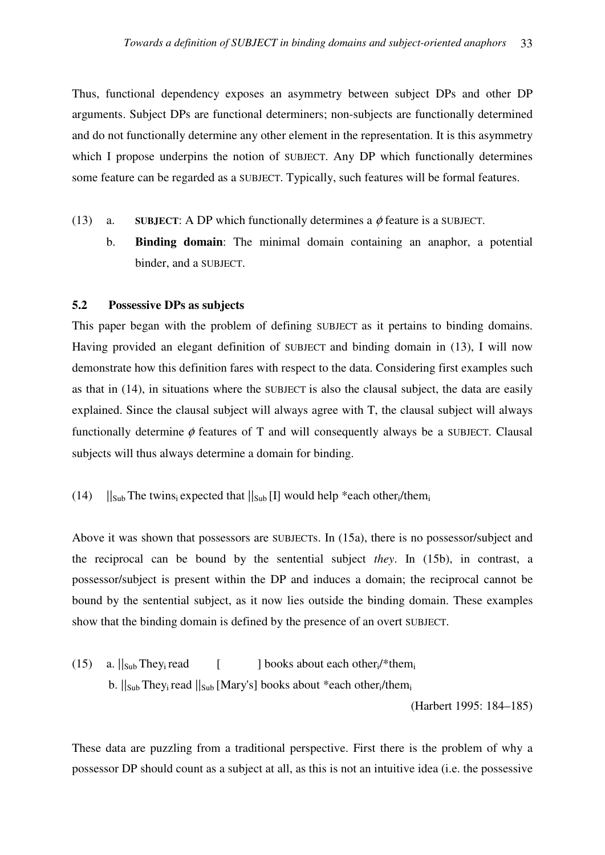Thus, functional dependency exposes an asymmetry between subject DPs and other DP arguments. Subject DPs are functional determiners; non-subjects are functionally determined and do not functionally determine any other element in the representation. It is this asymmetry which I propose underpins the notion of SUBJECT. Any DP which functionally determines some feature can be regarded as a SUBJECT. Typically, such features will be formal features.

- (13) a. **SUBJECT:** A DP which functionally determines a  $\phi$  feature is a SUBJECT.
	- b. **Binding domain**: The minimal domain containing an anaphor, a potential binder, and a SUBJECT.

#### **5.2 Possessive DPs as subjects**

This paper began with the problem of defining SUBJECT as it pertains to binding domains. Having provided an elegant definition of SUBJECT and binding domain in (13), I will now demonstrate how this definition fares with respect to the data. Considering first examples such as that in (14), in situations where the SUBJECT is also the clausal subject, the data are easily explained. Since the clausal subject will always agree with T, the clausal subject will always functionally determine  $\phi$  features of T and will consequently always be a SUBJECT. Clausal subjects will thus always determine a domain for binding.

#### (14)  $||_{Sub}$  The twins<sub>i</sub> expected that  $||_{Sub}$  [I] would help \*each other<sub>i</sub>/them.

Above it was shown that possessors are SUBJECTs. In (15a), there is no possessor/subject and the reciprocal can be bound by the sentential subject *they*. In (15b), in contrast, a possessor/subject is present within the DP and induces a domain; the reciprocal cannot be bound by the sentential subject, as it now lies outside the binding domain. These examples show that the binding domain is defined by the presence of an overt SUBJECT.

(15) a.  $||_{Sub}$  They<sub>i</sub> read  $\int$  books about each other<sub>i</sub>/\*them<sub>i</sub> b.  $||_{Sub}$  They<sub>i</sub> read  $||_{Sub}$  [Mary's] books about \*each other<sub>i</sub>/them<sub>i</sub> (Harbert 1995: 184–185)

These data are puzzling from a traditional perspective. First there is the problem of why a possessor DP should count as a subject at all, as this is not an intuitive idea (i.e. the possessive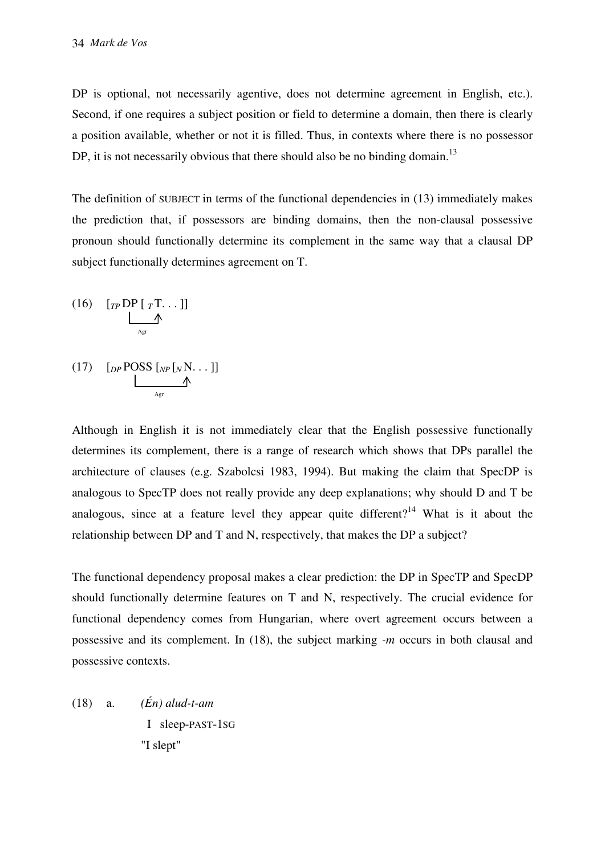DP is optional, not necessarily agentive, does not determine agreement in English, etc.). Second, if one requires a subject position or field to determine a domain, then there is clearly a position available, whether or not it is filled. Thus, in contexts where there is no possessor DP, it is not necessarily obvious that there should also be no binding domain.<sup>13</sup>

The definition of SUBJECT in terms of the functional dependencies in (13) immediately makes the prediction that, if possessors are binding domains, then the non-clausal possessive pronoun should functionally determine its complement in the same way that a clausal DP subject functionally determines agreement on T.

(16) 
$$
\underbrace{[TP\,DP\,[\,T\cdots\,]]}_{Agr}
$$

 $(17)$   $[pPOSS [NP[NN...]]$ **Agreement** 

Although in English it is not immediately clear that the English possessive functionally determines its complement, there is a range of research which shows that DPs parallel the architecture of clauses (e.g. Szabolcsi 1983, 1994). But making the claim that SpecDP is analogous to SpecTP does not really provide any deep explanations; why should D and T be analogous, since at a feature level they appear quite different?<sup>14</sup> What is it about the relationship between DP and T and N, respectively, that makes the DP a subject?

The functional dependency proposal makes a clear prediction: the DP in SpecTP and SpecDP should functionally determine features on T and N, respectively. The crucial evidence for functional dependency comes from Hungarian, where overt agreement occurs between a possessive and its complement. In (18), the subject marking *-m* occurs in both clausal and possessive contexts.

(18) a. *(Én) alud-t-am* I sleep-PAST-1SG "I slept"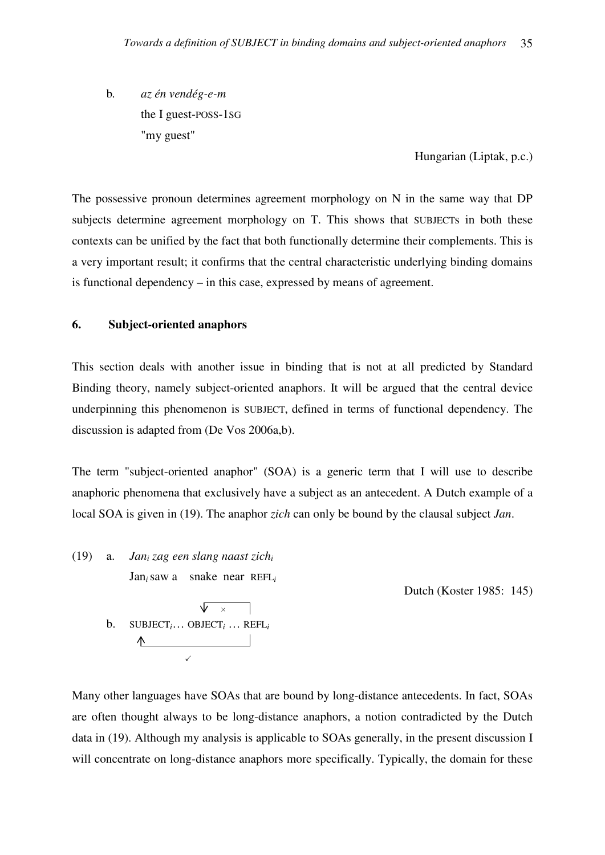b*. az én vendég-e-m* the I guest-POSS-1SG "my guest"

Hungarian (Liptak, p.c.)

The possessive pronoun determines agreement morphology on N in the same way that DP subjects determine agreement morphology on T. This shows that SUBJECTs in both these contexts can be unified by the fact that both functionally determine their complements. This is a very important result; it confirms that the central characteristic underlying binding domains is functional dependency – in this case, expressed by means of agreement.

#### **6. Subject-oriented anaphors**

This section deals with another issue in binding that is not at all predicted by Standard Binding theory, namely subject-oriented anaphors. It will be argued that the central device underpinning this phenomenon is SUBJECT, defined in terms of functional dependency. The discussion is adapted from (De Vos 2006a,b).

The term "subject-oriented anaphor" (SOA) is a generic term that I will use to describe anaphoric phenomena that exclusively have a subject as an antecedent. A Dutch example of a local SOA is given in (19). The anaphor *zich* can only be bound by the clausal subject *Jan*.

(19) a. *Jan<sup>i</sup> zag een slang naast zich<sup>i</sup>* Jan*i*saw a snake near REFL*<sup>i</sup>* Dutch (Koster 1985: 145)  $\sqrt{2}$ **b**. SUBJECT<sub>*i*</sub>... OBJECT<sub>*i*</sub></sub> ... REFL<sub>*i*</sub>  $\sqrt{2}$ 

Many other languages have SOAs that are bound by long-distance antecedents. In fact, SOAs are often thought always to be long-distance anaphors, a notion contradicted by the Dutch data in (19). Although my analysis is applicable to SOAs generally, in the present discussion I will concentrate on long-distance anaphors more specifically. Typically, the domain for these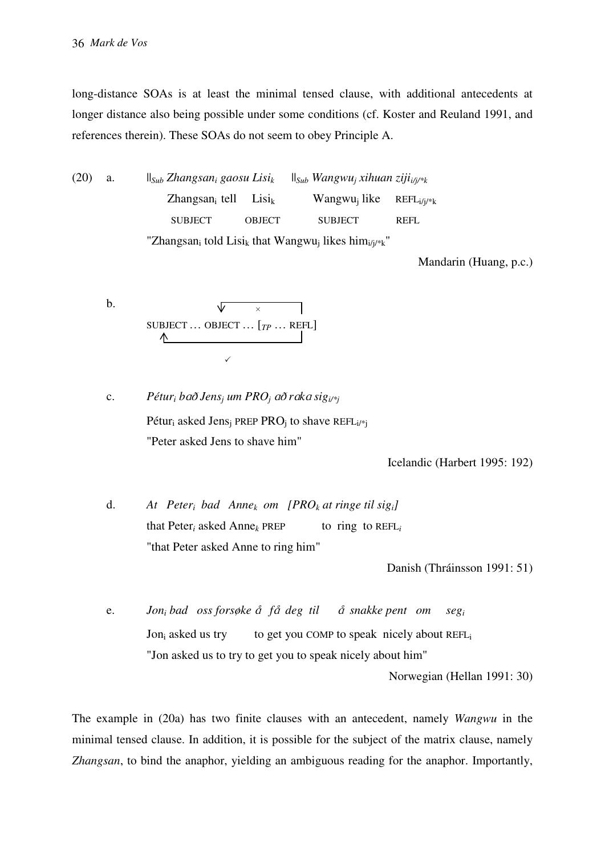long-distance SOAs is at least the minimal tensed clause, with additional antecedents at longer distance also being possible under some conditions (cf. Koster and Reuland 1991, and references therein). These SOAs do not seem to obey Principle A.

(20) a.  $||_{Sub}$  *Zhangsan<sub>i</sub> gaosu Lisi*<sub>k</sub>  *gaosu Lisik* ||*Sub Wangwu<sup>j</sup> xihuan zijii/j/\*k*  $Z$ hangsan<sub>i</sub> tell Lisi<sub>k</sub> Wangwu<sub>i</sub> like  $REFL_i/i/*k$  SUBJECT OBJECT SUBJECT REFL "Zhangsan<sub>i</sub> told Lisi<sub>k</sub> that Wangwu<sub>j</sub> likes him<sub>i/j/\*k</sub>"

Mandarin (Huang, p.c.)

b. 
$$
\begin{array}{c}\n\sqrt{2} \\
\sqrt{2} \\
\sqrt{2} \\
\sqrt{2}\n\end{array}
$$

c. *Pétur<sub>i</sub>* bað Jens<sub>j</sub> um PRO<sub>j</sub> að raka sig<sub>i/\*j</sub> Pétur<sub>i</sub> asked Jens<sub>j</sub> PREP PRO<sub>j</sub> to shave REFL<sub>i/\*j</sub> "Peter asked Jens to shave him"

Icelandic (Harbert 1995: 192)

 d. *At Peter<sup>i</sup> bad Annek om [PROk at ringe til sigi]*  that Peter<sub>*i*</sub> asked Anne<sub>k</sub> PREP to ring to REFL<sub>i</sub> "that Peter asked Anne to ring him"

Danish (Thráinsson 1991: 51)

e. *Jon<sub>i</sub>* bad oss forsøke å få deg til å snakke pent om seg<sub>i</sub> Jon<sub>i</sub> asked us try to get you COMP to speak nicely about REFL<sub>i</sub> "Jon asked us to try to get you to speak nicely about him"

Norwegian (Hellan 1991: 30)

The example in (20a) has two finite clauses with an antecedent, namely *Wangwu* in the minimal tensed clause. In addition, it is possible for the subject of the matrix clause, namely *Zhangsan*, to bind the anaphor, yielding an ambiguous reading for the anaphor. Importantly,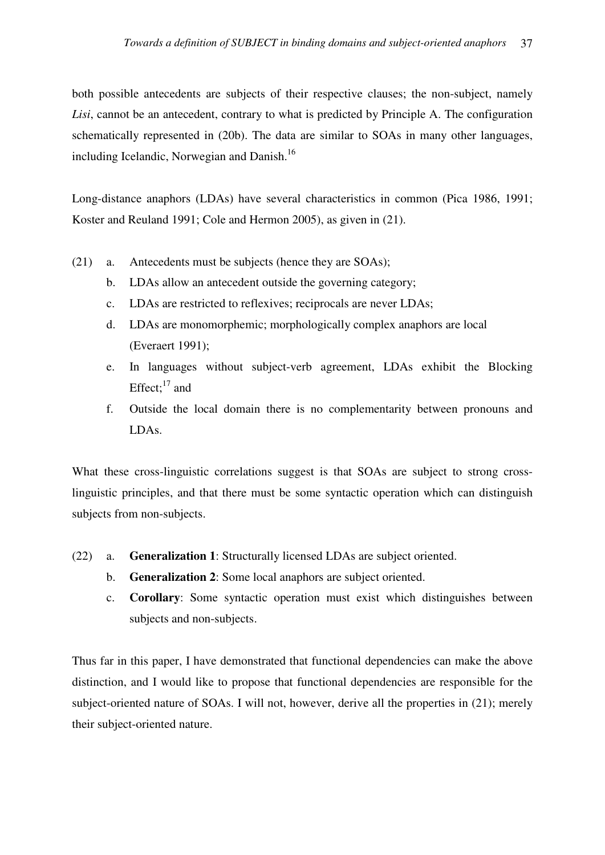both possible antecedents are subjects of their respective clauses; the non-subject, namely *Lisi*, cannot be an antecedent, contrary to what is predicted by Principle A. The configuration schematically represented in (20b). The data are similar to SOAs in many other languages, including Icelandic, Norwegian and Danish.<sup>16</sup>

Long-distance anaphors (LDAs) have several characteristics in common (Pica 1986, 1991; Koster and Reuland 1991; Cole and Hermon 2005), as given in (21).

- (21) a. Antecedents must be subjects (hence they are SOAs);
	- b. LDAs allow an antecedent outside the governing category;
	- c. LDAs are restricted to reflexives; reciprocals are never LDAs;
	- d. LDAs are monomorphemic; morphologically complex anaphors are local (Everaert 1991);
	- e. In languages without subject-verb agreement, LDAs exhibit the Blocking Effect; $17$  and
	- f. Outside the local domain there is no complementarity between pronouns and LDAs.

What these cross-linguistic correlations suggest is that SOAs are subject to strong crosslinguistic principles, and that there must be some syntactic operation which can distinguish subjects from non-subjects.

- (22) a. **Generalization 1**: Structurally licensed LDAs are subject oriented.
	- b. **Generalization 2**: Some local anaphors are subject oriented.
	- c. **Corollary**: Some syntactic operation must exist which distinguishes between subjects and non-subjects.

Thus far in this paper, I have demonstrated that functional dependencies can make the above distinction, and I would like to propose that functional dependencies are responsible for the subject-oriented nature of SOAs. I will not, however, derive all the properties in (21); merely their subject-oriented nature.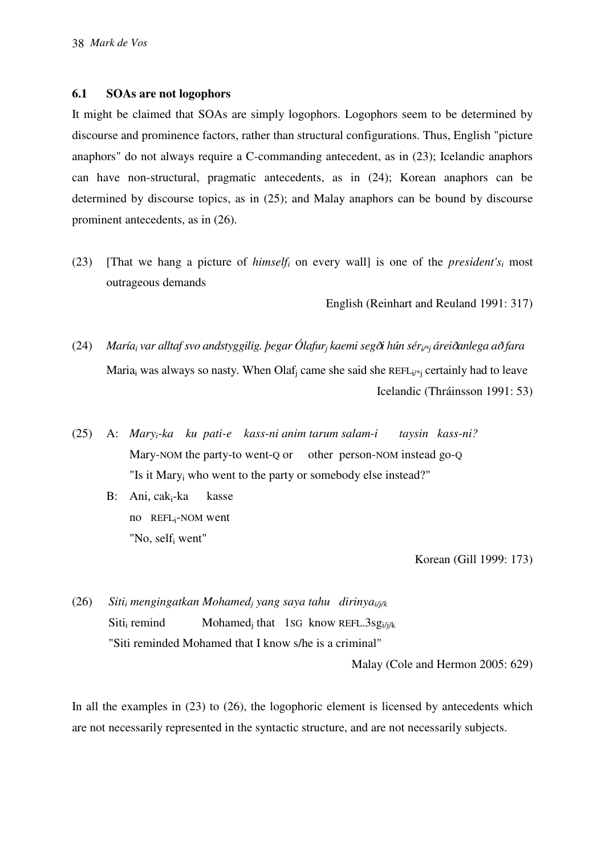## **6.1 SOAs are not logophors**

It might be claimed that SOAs are simply logophors. Logophors seem to be determined by discourse and prominence factors, rather than structural configurations. Thus, English "picture anaphors" do not always require a C-commanding antecedent, as in (23); Icelandic anaphors can have non-structural, pragmatic antecedents, as in (24); Korean anaphors can be determined by discourse topics, as in (25); and Malay anaphors can be bound by discourse prominent antecedents, as in (26).

(23) [That we hang a picture of *himself<sub>i</sub>* on every wall] is one of the *president's<sub>i</sub>* most outrageous demands

English (Reinhart and Reuland 1991: 317)

- (24) *María<sup>i</sup> var alltaf svo andstyggilig. þegar Ólafur<sup>j</sup> kaemi seg*D*i hún séri/\*j árei*D*anlega a*D *fara* Maria<sub>i</sub> was always so nasty. When Olaf<sub>j</sub> came she said she REFL<sub>i/\*j</sub> certainly had to leave Icelandic (Thráinsson 1991: 53)
- (25) A: *Maryi-ka ku pati-e kass-ni anim tarum salam-i taysin kass-ni?*  Mary-NOM the party-to went-Q or other person-NOM instead go-Q "Is it Mary<sub>i</sub> who went to the party or somebody else instead?"
- B: Ani, caki-ka kasse no REFLi-NOM went "No, self<sub>i</sub> went"

Korean (Gill 1999: 173)

 $(26)$  *mengingatkan Mohamed<sup>j</sup> yang saya tahu dirinyai/j/k* Siti<sub>i</sub> remind remind Mohamed<sub>j</sub> that 1sG know REFL.3sg<sub>i/j/k</sub> "Siti reminded Mohamed that I know s/he is a criminal"

Malay (Cole and Hermon 2005: 629)

In all the examples in (23) to (26), the logophoric element is licensed by antecedents which are not necessarily represented in the syntactic structure, and are not necessarily subjects.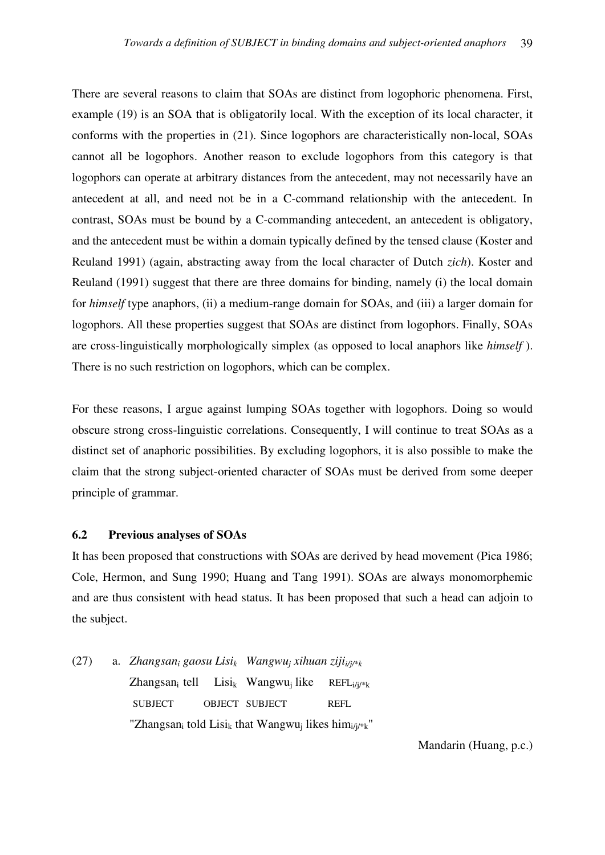There are several reasons to claim that SOAs are distinct from logophoric phenomena. First, example (19) is an SOA that is obligatorily local. With the exception of its local character, it conforms with the properties in (21). Since logophors are characteristically non-local, SOAs cannot all be logophors. Another reason to exclude logophors from this category is that logophors can operate at arbitrary distances from the antecedent, may not necessarily have an antecedent at all, and need not be in a C-command relationship with the antecedent. In contrast, SOAs must be bound by a C-commanding antecedent, an antecedent is obligatory, and the antecedent must be within a domain typically defined by the tensed clause (Koster and Reuland 1991) (again, abstracting away from the local character of Dutch *zich*). Koster and Reuland (1991) suggest that there are three domains for binding, namely (i) the local domain for *himself* type anaphors, (ii) a medium-range domain for SOAs, and (iii) a larger domain for logophors. All these properties suggest that SOAs are distinct from logophors. Finally, SOAs are cross-linguistically morphologically simplex (as opposed to local anaphors like *himself* ). There is no such restriction on logophors, which can be complex.

For these reasons, I argue against lumping SOAs together with logophors. Doing so would obscure strong cross-linguistic correlations. Consequently, I will continue to treat SOAs as a distinct set of anaphoric possibilities. By excluding logophors, it is also possible to make the claim that the strong subject-oriented character of SOAs must be derived from some deeper principle of grammar.

## **6.2 Previous analyses of SOAs**

It has been proposed that constructions with SOAs are derived by head movement (Pica 1986; Cole, Hermon, and Sung 1990; Huang and Tang 1991). SOAs are always monomorphemic and are thus consistent with head status. It has been proposed that such a head can adjoin to the subject.

(27) a. *Zhangsan<sup>i</sup> gaosu Lisi<sup>k</sup> Wangwu<sup>j</sup> xihuan zijii/j/\*k*  $Z$ hangsan<sub>i</sub> tell Lisi<sub>k</sub> Wangwu<sub>i</sub> like  $REFLi/i/*k$  SUBJECT OBJECT SUBJECT REFL "Zhangsan<sub>i</sub> told Lisi<sub>k</sub> that Wangwu<sub>j</sub> likes him<sub>i/j/\*k</sub>"

Mandarin (Huang, p.c.)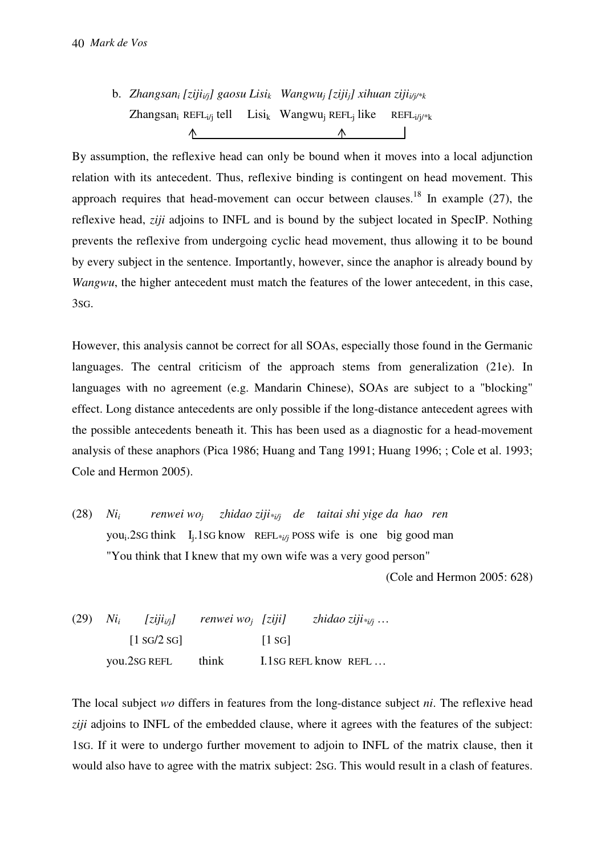b. *Zhangsan<sup>i</sup> [zijii/j] gaosu Lisi<sup>k</sup> Wangwu<sup>j</sup> [zijij] xihuan zijii/j/\*k* Zhangsan<sub>i</sub> REFL<sub>i/j</sub> tell Lisi<sub>k</sub> Wangwu<sub>j</sub> REFL<sub>i</sub> like  $REFLi/i/*k$  $\wedge$ 

By assumption, the reflexive head can only be bound when it moves into a local adjunction relation with its antecedent. Thus, reflexive binding is contingent on head movement. This approach requires that head-movement can occur between clauses.<sup>18</sup> In example (27), the reflexive head, *ziji* adjoins to INFL and is bound by the subject located in SpecIP. Nothing prevents the reflexive from undergoing cyclic head movement, thus allowing it to be bound by every subject in the sentence. Importantly, however, since the anaphor is already bound by *Wangwu*, the higher antecedent must match the features of the lower antecedent, in this case, 3SG.

However, this analysis cannot be correct for all SOAs, especially those found in the Germanic languages. The central criticism of the approach stems from generalization (21e). In languages with no agreement (e.g. Mandarin Chinese), SOAs are subject to a "blocking" effect. Long distance antecedents are only possible if the long-distance antecedent agrees with the possible antecedents beneath it. This has been used as a diagnostic for a head-movement analysis of these anaphors (Pica 1986; Huang and Tang 1991; Huang 1996; ; Cole et al. 1993; Cole and Hermon 2005).

(28) *Nii renwei woj zhidao ziji\*i/j de taitai shi yige da hao ren* you<sub>i</sub>.2sG think I<sub>j</sub>.1sG know REFL<sub>\*i/j</sub> POSS wife is one big good man "You think that I knew that my own wife was a very good person"

(Cole and Hermon 2005: 628)

(29) *Ni<sup>i</sup>*  $[ziiii\%]$  renwei wo<sub>i</sub> [ziji]  *[ziji] zhidao ziji\*i/j* …  $[1 \text{ SG}/2 \text{ SG}]$   $[1 \text{ SG}]$ you.2sG REFL think I.1sG REFL know REFL ...

The local subject *wo* differs in features from the long-distance subject *ni*. The reflexive head *ziji* adjoins to INFL of the embedded clause, where it agrees with the features of the subject: 1SG. If it were to undergo further movement to adjoin to INFL of the matrix clause, then it would also have to agree with the matrix subject: 2SG. This would result in a clash of features.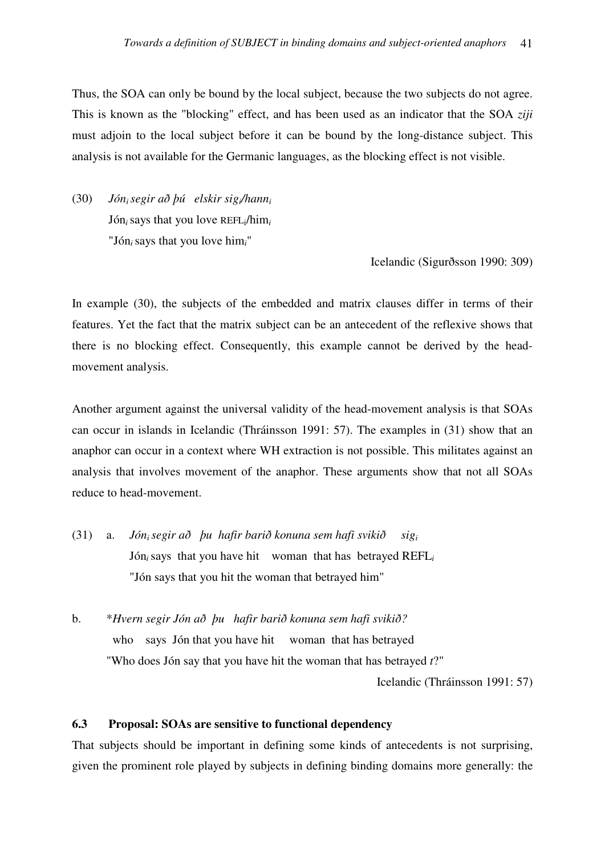Thus, the SOA can only be bound by the local subject, because the two subjects do not agree. This is known as the "blocking" effect, and has been used as an indicator that the SOA *ziji*  must adjoin to the local subject before it can be bound by the long-distance subject. This analysis is not available for the Germanic languages, as the blocking effect is not visible.

(30) *Jóni segir að þú elskir sigi/hann<sup>i</sup>* Jón*i*says that you love REFLi/him*<sup>i</sup>* "Jón*i*says that you love him*i*"

Icelandic (Sigurðsson 1990: 309)

In example (30), the subjects of the embedded and matrix clauses differ in terms of their features. Yet the fact that the matrix subject can be an antecedent of the reflexive shows that there is no blocking effect. Consequently, this example cannot be derived by the headmovement analysis.

Another argument against the universal validity of the head-movement analysis is that SOAs can occur in islands in Icelandic (Thráinsson 1991: 57). The examples in (31) show that an anaphor can occur in a context where WH extraction is not possible. This militates against an analysis that involves movement of the anaphor. These arguments show that not all SOAs reduce to head-movement.

(31) a. *Jóni segir að þu hafir barið konuna sem hafi svikið sig<sup>i</sup>* Jón*i*says that you have hit woman that has betrayed REFL*<sup>i</sup>* "Jón says that you hit the woman that betrayed him"

b. \**Hvern segir Jón að þu hafir barið konuna sem hafi svikið?* who says Jón that you have hit woman that has betrayed "Who does Jón say that you have hit the woman that has betrayed *t*?"

Icelandic (Thráinsson 1991: 57)

## **6.3 Proposal: SOAs are sensitive to functional dependency**

That subjects should be important in defining some kinds of antecedents is not surprising, given the prominent role played by subjects in defining binding domains more generally: the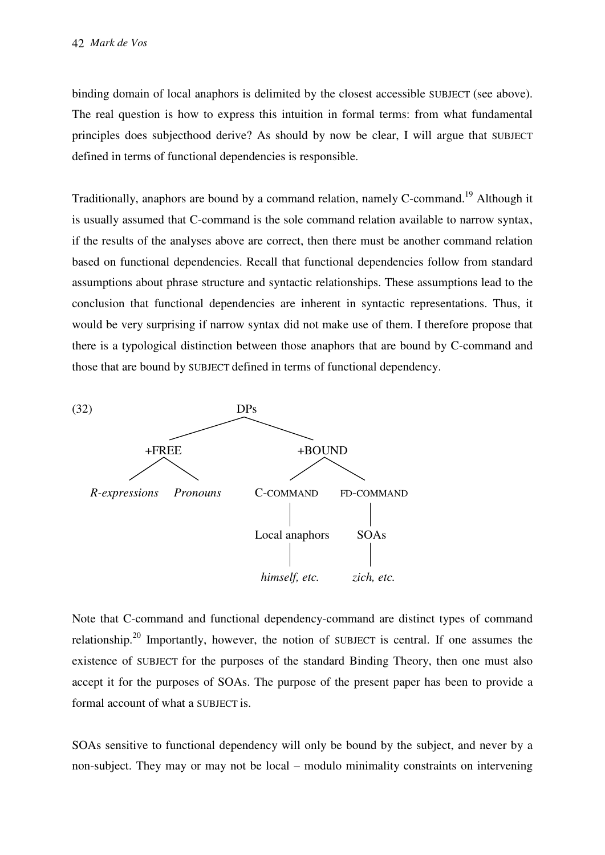binding domain of local anaphors is delimited by the closest accessible SUBJECT (see above). The real question is how to express this intuition in formal terms: from what fundamental principles does subjecthood derive? As should by now be clear, I will argue that SUBJECT defined in terms of functional dependencies is responsible.

Traditionally, anaphors are bound by a command relation, namely C-command.<sup>19</sup> Although it is usually assumed that C-command is the sole command relation available to narrow syntax, if the results of the analyses above are correct, then there must be another command relation based on functional dependencies. Recall that functional dependencies follow from standard assumptions about phrase structure and syntactic relationships. These assumptions lead to the conclusion that functional dependencies are inherent in syntactic representations. Thus, it would be very surprising if narrow syntax did not make use of them. I therefore propose that there is a typological distinction between those anaphors that are bound by C-command and those that are bound by SUBJECT defined in terms of functional dependency.



Note that C-command and functional dependency-command are distinct types of command relationship.<sup>20</sup> Importantly, however, the notion of SUBJECT is central. If one assumes the existence of SUBJECT for the purposes of the standard Binding Theory, then one must also accept it for the purposes of SOAs. The purpose of the present paper has been to provide a formal account of what a SUBJECT is.

SOAs sensitive to functional dependency will only be bound by the subject, and never by a non-subject. They may or may not be local – modulo minimality constraints on intervening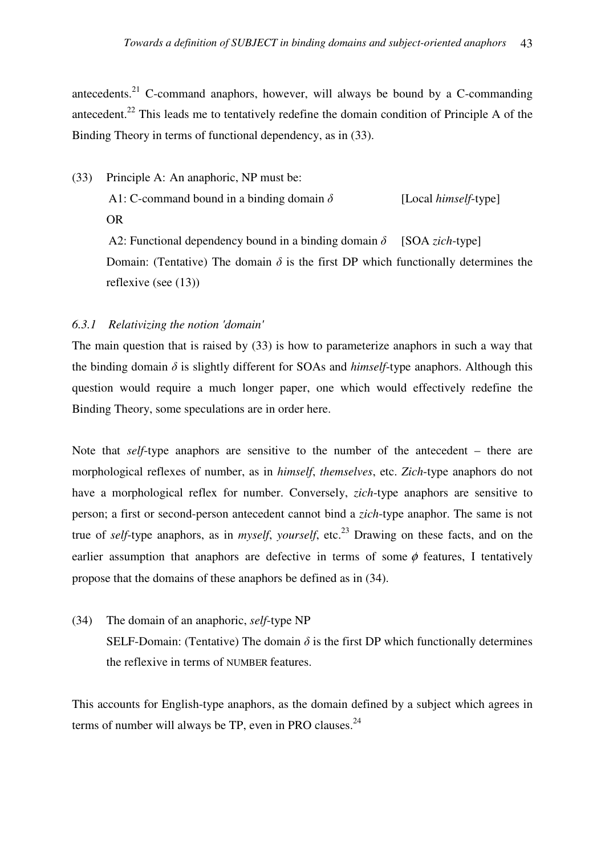antecedents. $21$  C-command anaphors, however, will always be bound by a C-commanding antecedent.<sup>22</sup> This leads me to tentatively redefine the domain condition of Principle A of the Binding Theory in terms of functional dependency, as in (33).

(33) Principle A: An anaphoric, NP must be: A1: C-command bound in a binding domain  $\delta$  [Local *himself*-type] OR A2: Functional dependency bound in a binding domain  $\delta$  [SOA *zich*-type]

Domain: (Tentative) The domain  $\delta$  is the first DP which functionally determines the reflexive (see (13))

# *6.3.1 Relativizing the notion 'domain'*

The main question that is raised by (33) is how to parameterize anaphors in such a way that the binding domain  $\delta$  is slightly different for SOAs and *himself*-type anaphors. Although this question would require a much longer paper, one which would effectively redefine the Binding Theory, some speculations are in order here.

Note that *self*-type anaphors are sensitive to the number of the antecedent – there are morphological reflexes of number, as in *himself*, *themselves*, etc. *Zich*-type anaphors do not have a morphological reflex for number. Conversely, *zich*-type anaphors are sensitive to person; a first or second-person antecedent cannot bind a *zich*-type anaphor. The same is not true of *self*-type anaphors, as in *myself*, *yourself*, etc.<sup>23</sup> Drawing on these facts, and on the earlier assumption that anaphors are defective in terms of some  $\phi$  features. I tentatively propose that the domains of these anaphors be defined as in (34).

(34) The domain of an anaphoric, *self*-type NP SELF-Domain: (Tentative) The domain  $\delta$  is the first DP which functionally determines the reflexive in terms of NUMBER features.

This accounts for English-type anaphors, as the domain defined by a subject which agrees in terms of number will always be TP, even in PRO clauses. $^{24}$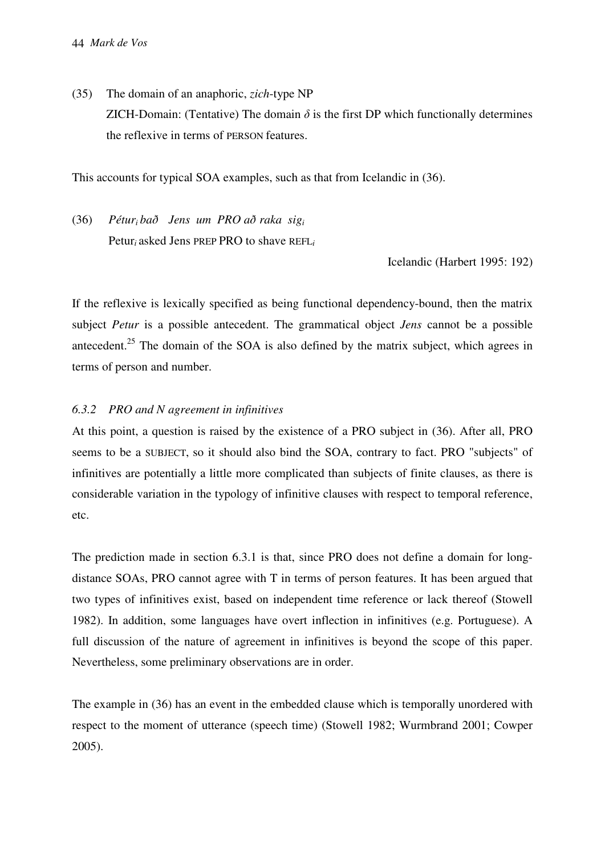(35) The domain of an anaphoric, *zich*-type NP ZICH-Domain: (Tentative) The domain  $\delta$  is the first DP which functionally determines the reflexive in terms of PERSON features.

This accounts for typical SOA examples, such as that from Icelandic in (36).

(36) *Péturi bað Jens um PRO að raka sig<sup>i</sup>* Petur*<sup>i</sup>* asked Jens PREP PRO to shave REFL*<sup>i</sup>*

Icelandic (Harbert 1995: 192)

If the reflexive is lexically specified as being functional dependency-bound, then the matrix subject *Petur* is a possible antecedent. The grammatical object *Jens* cannot be a possible antecedent.<sup>25</sup> The domain of the SOA is also defined by the matrix subject, which agrees in terms of person and number.

# *6.3.2 PRO and N agreement in infinitives*

At this point, a question is raised by the existence of a PRO subject in (36). After all, PRO seems to be a SUBJECT, so it should also bind the SOA, contrary to fact. PRO "subjects" of infinitives are potentially a little more complicated than subjects of finite clauses, as there is considerable variation in the typology of infinitive clauses with respect to temporal reference, etc.

The prediction made in section 6.3.1 is that, since PRO does not define a domain for longdistance SOAs, PRO cannot agree with T in terms of person features. It has been argued that two types of infinitives exist, based on independent time reference or lack thereof (Stowell 1982). In addition, some languages have overt inflection in infinitives (e.g. Portuguese). A full discussion of the nature of agreement in infinitives is beyond the scope of this paper. Nevertheless, some preliminary observations are in order.

The example in (36) has an event in the embedded clause which is temporally unordered with respect to the moment of utterance (speech time) (Stowell 1982; Wurmbrand 2001; Cowper 2005).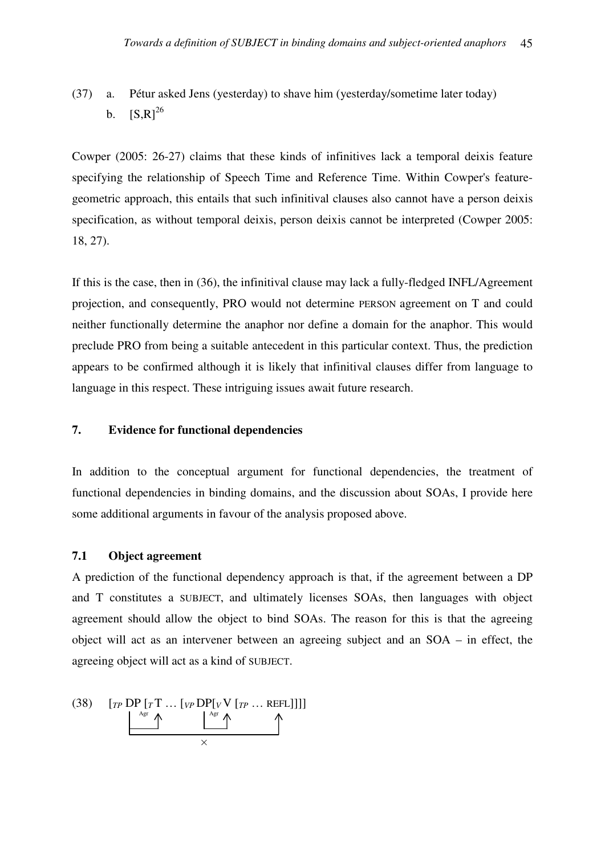(37) a. Pétur asked Jens (yesterday) to shave him (yesterday/sometime later today) b.  $[S,R]^{26}$ 

Cowper (2005: 26-27) claims that these kinds of infinitives lack a temporal deixis feature specifying the relationship of Speech Time and Reference Time. Within Cowper's featuregeometric approach, this entails that such infinitival clauses also cannot have a person deixis specification, as without temporal deixis, person deixis cannot be interpreted (Cowper 2005: 18, 27).

If this is the case, then in (36), the infinitival clause may lack a fully-fledged INFL/Agreement projection, and consequently, PRO would not determine PERSON agreement on T and could neither functionally determine the anaphor nor define a domain for the anaphor. This would preclude PRO from being a suitable antecedent in this particular context. Thus, the prediction appears to be confirmed although it is likely that infinitival clauses differ from language to language in this respect. These intriguing issues await future research.

# **7. Evidence for functional dependencies**

In addition to the conceptual argument for functional dependencies, the treatment of functional dependencies in binding domains, and the discussion about SOAs, I provide here some additional arguments in favour of the analysis proposed above.

## **7.1 Object agreement**

A prediction of the functional dependency approach is that, if the agreement between a DP and T constitutes a SUBJECT, and ultimately licenses SOAs, then languages with object agreement should allow the object to bind SOAs. The reason for this is that the agreeing object will act as an intervener between an agreeing subject and an SOA – in effect, the agreeing object will act as a kind of SUBJECT.

(38) 
$$
\begin{bmatrix} T P \text{ DP} [T \text{ T} \dots [V P \text{ DP} [V \text{ V} [T P \dots \text{REFL}]]] \\ \downarrow^{\text{Agr}} \uparrow \qquad \qquad \searrow \qquad \qquad \searrow \qquad \qquad \searrow \qquad \qquad \searrow \qquad \qquad \searrow \qquad \qquad \searrow \qquad \qquad \searrow \qquad \qquad \searrow \qquad \qquad \searrow \qquad \qquad \searrow \qquad \qquad \searrow \qquad \qquad \searrow \qquad \qquad \searrow \qquad \qquad \searrow \qquad \qquad \searrow \qquad \qquad \searrow \qquad \qquad \searrow \qquad \qquad \searrow \qquad \qquad \searrow \qquad \qquad \searrow \qquad \qquad \searrow \qquad \qquad \searrow \qquad \qquad \searrow \qquad \qquad \searrow \qquad \qquad \searrow \qquad \qquad \searrow \qquad \qquad \searrow \qquad \qquad \searrow \qquad \qquad \searrow \qquad \qquad \searrow \qquad \qquad \searrow \qquad \qquad \searrow \qquad \qquad \searrow \qquad \qquad \searrow \qquad \qquad \searrow \qquad \qquad \searrow \qquad \qquad \searrow \qquad \qquad \searrow \qquad \qquad \searrow \qquad \qquad \searrow \qquad \qquad \searrow \qquad \qquad \searrow \qquad \qquad \searrow \qquad \qquad \searrow \qquad \qquad \searrow \qquad \qquad \searrow \qquad \qquad \searrow \qquad \qquad \searrow \qquad \qquad \searrow \qquad \qquad \searrow \qquad \qquad \searrow \qquad \qquad \searrow \qquad \qquad \searrow \qquad \qquad \searrow \qquad \qquad \searrow \qquad \qquad \searrow \qquad \qquad \searrow \qquad \qquad \searrow \qquad \qquad \searrow \qquad \qquad \searrow \qquad \qquad \searrow \qquad \qquad \searrow \qquad \qquad \searrow \qquad \qquad \searrow \qquad \qquad \searrow \qquad \qquad \searrow \qquad \qquad \searrow \qquad \qquad \searrow \qquad \qquad \searrow \qquad \qquad \searrow \qquad \searrow \qquad \searrow \qquad \searrow \qquad \searrow \qquad \searrow \qquad \searrow \qquad \searrow \qquad \searrow \qquad \searrow \qquad \searrow \q
$$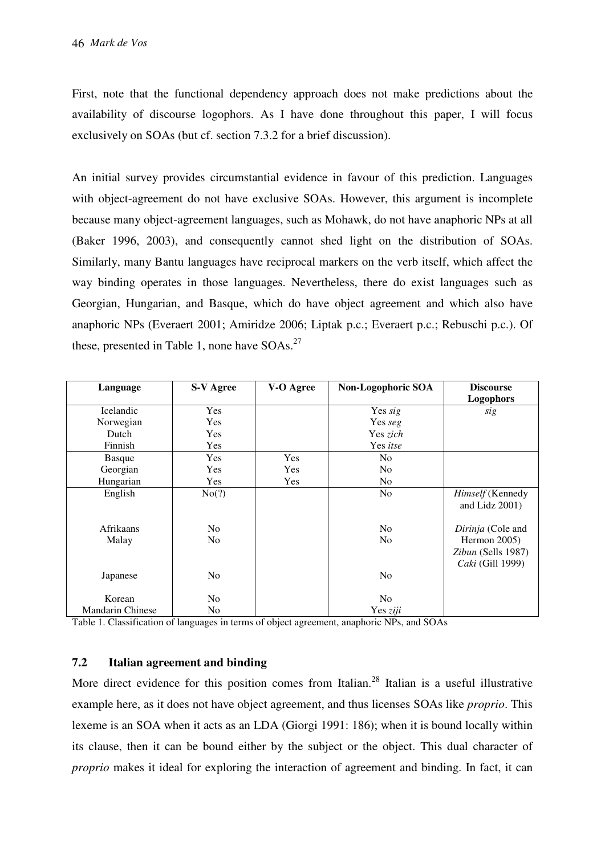First, note that the functional dependency approach does not make predictions about the availability of discourse logophors. As I have done throughout this paper, I will focus exclusively on SOAs (but cf. section 7.3.2 for a brief discussion).

An initial survey provides circumstantial evidence in favour of this prediction. Languages with object-agreement do not have exclusive SOAs. However, this argument is incomplete because many object-agreement languages, such as Mohawk, do not have anaphoric NPs at all (Baker 1996, 2003), and consequently cannot shed light on the distribution of SOAs. Similarly, many Bantu languages have reciprocal markers on the verb itself, which affect the way binding operates in those languages. Nevertheless, there do exist languages such as Georgian, Hungarian, and Basque, which do have object agreement and which also have anaphoric NPs (Everaert 2001; Amiridze 2006; Liptak p.c.; Everaert p.c.; Rebuschi p.c.). Of these, presented in Table 1, none have  $SOS<sub>1</sub><sup>27</sup>$ 

| Language                | <b>S-V Agree</b> | V-O Agree  | Non-Logophoric SOA | <b>Discourse</b><br><b>Logophors</b>                   |
|-------------------------|------------------|------------|--------------------|--------------------------------------------------------|
| Icelandic               | Yes              |            | Yes sig            | sig                                                    |
| Norwegian               | <b>Yes</b>       |            | Yes seg            |                                                        |
| Dutch                   | Yes              |            | Yes zich           |                                                        |
| Finnish                 | Yes              |            | Yes itse           |                                                        |
| <b>Basque</b>           | Yes              | <b>Yes</b> | N <sub>0</sub>     |                                                        |
| Georgian                | Yes              | Yes        | N <sub>0</sub>     |                                                        |
| Hungarian               | Yes              | Yes        | N <sub>0</sub>     |                                                        |
| English                 | No(?)            |            | N <sub>0</sub>     | <i>Himself</i> (Kennedy<br>and Lidz $2001$ )           |
| Afrikaans               | No.              |            | N <sub>0</sub>     | Dirinja (Cole and                                      |
| Malay                   | N <sub>o</sub>   |            | N <sub>0</sub>     | Hermon 2005)<br>Zibun (Sells 1987)<br>Caki (Gill 1999) |
| Japanese                | N <sub>o</sub>   |            | N <sub>0</sub>     |                                                        |
| Korean                  | No.              |            | N <sub>0</sub>     |                                                        |
| <b>Mandarin Chinese</b> | N <sub>0</sub>   |            | Yes ziji           |                                                        |

Table 1. Classification of languages in terms of object agreement, anaphoric NPs, and SOAs

# **7.2 Italian agreement and binding**

More direct evidence for this position comes from Italian.<sup>28</sup> Italian is a useful illustrative example here, as it does not have object agreement, and thus licenses SOAs like *proprio*. This lexeme is an SOA when it acts as an LDA (Giorgi 1991: 186); when it is bound locally within its clause, then it can be bound either by the subject or the object. This dual character of *proprio* makes it ideal for exploring the interaction of agreement and binding. In fact, it can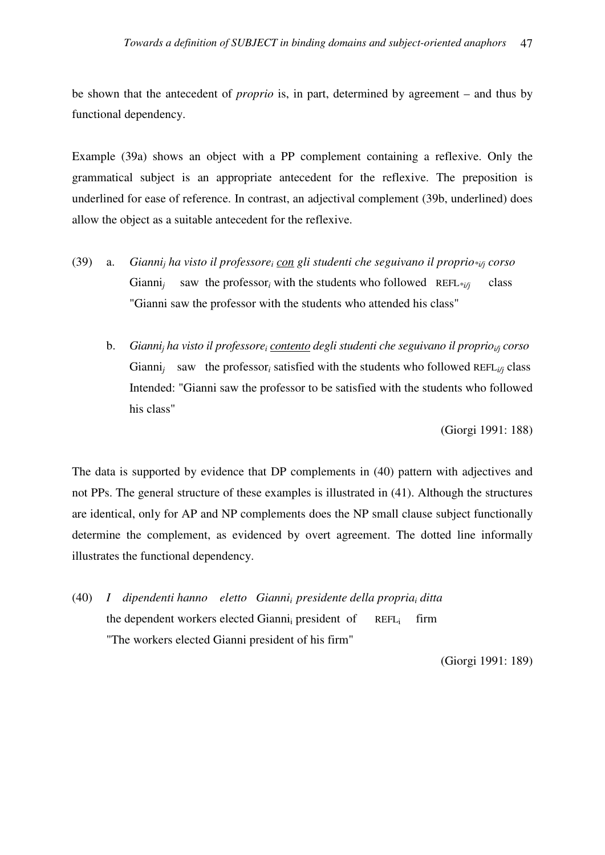be shown that the antecedent of *proprio* is, in part, determined by agreement – and thus by functional dependency.

Example (39a) shows an object with a PP complement containing a reflexive. Only the grammatical subject is an appropriate antecedent for the reflexive. The preposition is underlined for ease of reference. In contrast, an adjectival complement (39b, underlined) does allow the object as a suitable antecedent for the reflexive.

- (39) a. *Gianni<sub>j</sub> ha visto il professore<sub>i</sub> con gli studenti che seguivano il proprio*<sup>\*ij</sup><sub>j</sub> corso Gianni*<sup>j</sup>* saw the professor<sub>i</sub> with the students who followed  $REFL*_{i/j}$  class "Gianni saw the professor with the students who attended his class"
- b. *Gianni<sub>j</sub> ha visto il professore<sub>i</sub> contento degli studenti che seguivano il proprio<sub>i/j</sub> corso* Gianni<sub>j</sub> saw the professor<sub>i</sub> satisfied with the students who followed REFL<sub>i/j</sub> class Intended: "Gianni saw the professor to be satisfied with the students who followed his class"

(Giorgi 1991: 188)

The data is supported by evidence that DP complements in (40) pattern with adjectives and not PPs. The general structure of these examples is illustrated in (41). Although the structures are identical, only for AP and NP complements does the NP small clause subject functionally determine the complement, as evidenced by overt agreement. The dotted line informally illustrates the functional dependency.

(40) *I dipendenti hanno eletto Giannii presidente della propria<sup>i</sup> ditta* the dependent workers elected Gianni<sub>i</sub> president of REFL<sub>i</sub>  $REFL$  firm "The workers elected Gianni president of his firm"

(Giorgi 1991: 189)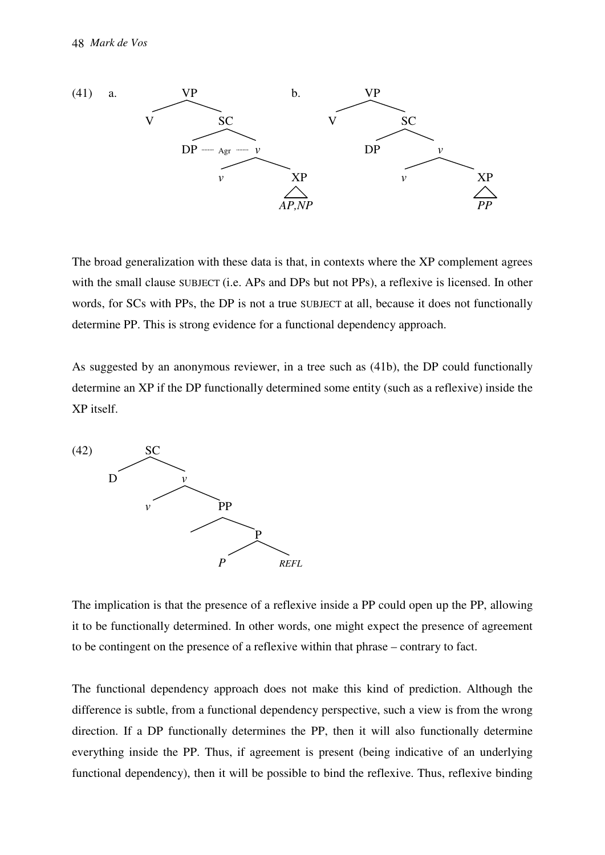

The broad generalization with these data is that, in contexts where the XP complement agrees with the small clause SUBJECT (i.e. APs and DPs but not PPs), a reflexive is licensed. In other words, for SCs with PPs, the DP is not a true SUBJECT at all, because it does not functionally determine PP. This is strong evidence for a functional dependency approach.

As suggested by an anonymous reviewer, in a tree such as (41b), the DP could functionally determine an XP if the DP functionally determined some entity (such as a reflexive) inside the XP itself.



The implication is that the presence of a reflexive inside a PP could open up the PP, allowing it to be functionally determined. In other words, one might expect the presence of agreement to be contingent on the presence of a reflexive within that phrase – contrary to fact.

The functional dependency approach does not make this kind of prediction. Although the difference is subtle, from a functional dependency perspective, such a view is from the wrong direction. If a DP functionally determines the PP, then it will also functionally determine everything inside the PP. Thus, if agreement is present (being indicative of an underlying functional dependency), then it will be possible to bind the reflexive. Thus, reflexive binding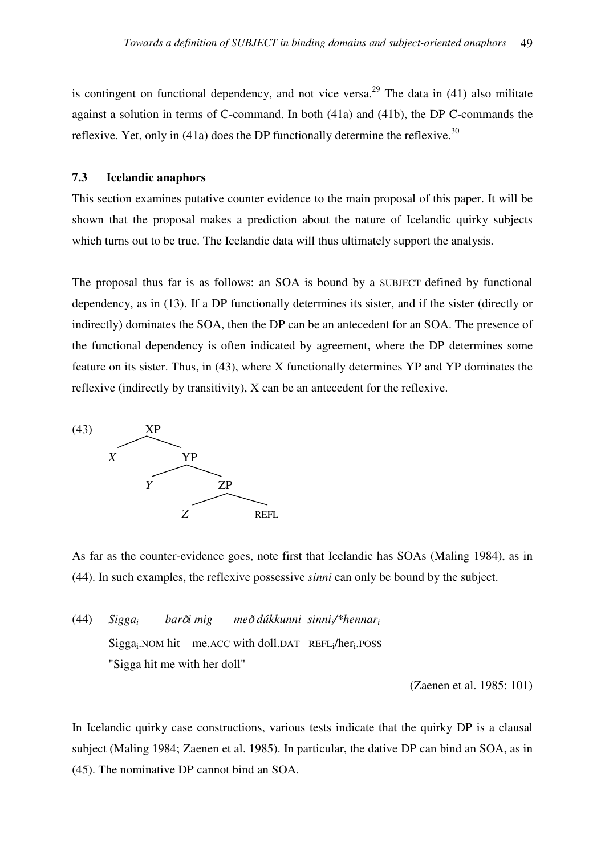is contingent on functional dependency, and not vice versa.<sup>29</sup> The data in  $(41)$  also militate against a solution in terms of C-command. In both (41a) and (41b), the DP C-commands the reflexive. Yet, only in (41a) does the DP functionally determine the reflexive.<sup>30</sup>

# **7.3 Icelandic anaphors**

This section examines putative counter evidence to the main proposal of this paper. It will be shown that the proposal makes a prediction about the nature of Icelandic quirky subjects which turns out to be true. The Icelandic data will thus ultimately support the analysis.

The proposal thus far is as follows: an SOA is bound by a SUBJECT defined by functional dependency, as in (13). If a DP functionally determines its sister, and if the sister (directly or indirectly) dominates the SOA, then the DP can be an antecedent for an SOA. The presence of the functional dependency is often indicated by agreement, where the DP determines some feature on its sister. Thus, in (43), where X functionally determines YP and YP dominates the reflexive (indirectly by transitivity), X can be an antecedent for the reflexive.



As far as the counter-evidence goes, note first that Icelandic has SOAs (Maling 1984), as in (44). In such examples, the reflexive possessive *sinni* can only be bound by the subject.

(44) *Siggai bar*D*i mig me*D *dúkkunni sinnii/\*hennar<sup>i</sup>* Sigga<sub>i</sub>.NOM hit me.ACC with doll.DAT REFL<sub>i</sub>/her<sub>i</sub>.POSS "Sigga hit me with her doll"

(Zaenen et al. 1985: 101)

In Icelandic quirky case constructions, various tests indicate that the quirky DP is a clausal subject (Maling 1984; Zaenen et al. 1985). In particular, the dative DP can bind an SOA, as in (45). The nominative DP cannot bind an SOA.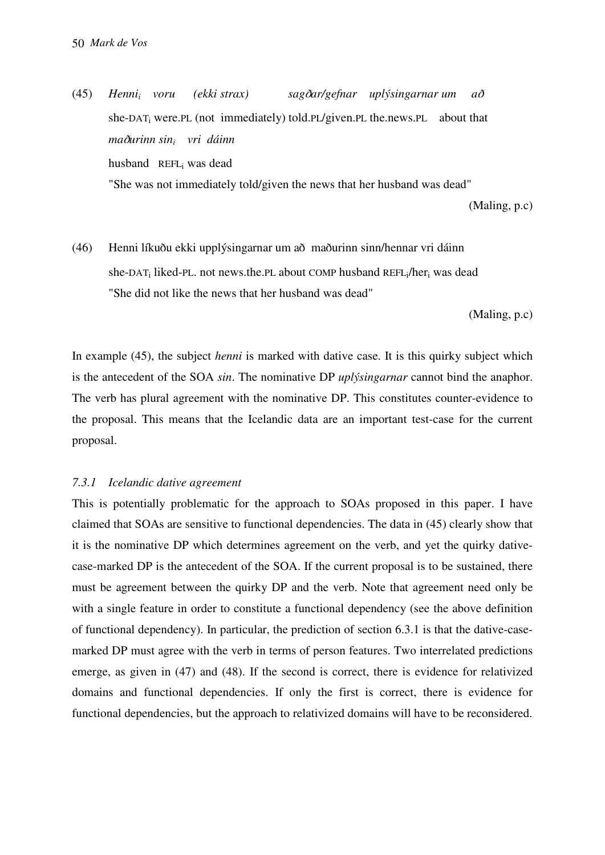(45) *Henni<sup>i</sup> (ekki strax)* sagðar/gefnar uplýsingarnar um að she-DAT<sub>i</sub> were.PL (not immediately) told.PL/given.PL the.news.PL about that *ma*D*urinn sin<sup>i</sup> vri dáinn* husband REFL<sup>i</sup> was dead "She was not immediately told/given the news that her husband was dead"

(Maling, p.c)

(46) Henni líkuðu ekki upplýsingarnar um að maðurinn sinn/hennar vri dáinn she-DAT<sub>i</sub> liked-PL. not news.the.PL about COMP husband REFL<sub>i</sub>/her<sub>i</sub> was dead "She did not like the news that her husband was dead"

(Maling, p.c)

In example (45), the subject *henni* is marked with dative case. It is this quirky subject which is the antecedent of the SOA *sin*. The nominative DP *uplýsingarnar* cannot bind the anaphor. The verb has plural agreement with the nominative DP. This constitutes counter-evidence to the proposal. This means that the Icelandic data are an important test-case for the current proposal.

#### *7.3.1 Icelandic dative agreement*

This is potentially problematic for the approach to SOAs proposed in this paper. I have claimed that SOAs are sensitive to functional dependencies. The data in (45) clearly show that it is the nominative DP which determines agreement on the verb, and yet the quirky dativecase-marked DP is the antecedent of the SOA. If the current proposal is to be sustained, there must be agreement between the quirky DP and the verb. Note that agreement need only be with a single feature in order to constitute a functional dependency (see the above definition of functional dependency). In particular, the prediction of section 6.3.1 is that the dative-casemarked DP must agree with the verb in terms of person features. Two interrelated predictions emerge, as given in (47) and (48). If the second is correct, there is evidence for relativized domains and functional dependencies. If only the first is correct, there is evidence for functional dependencies, but the approach to relativized domains will have to be reconsidered.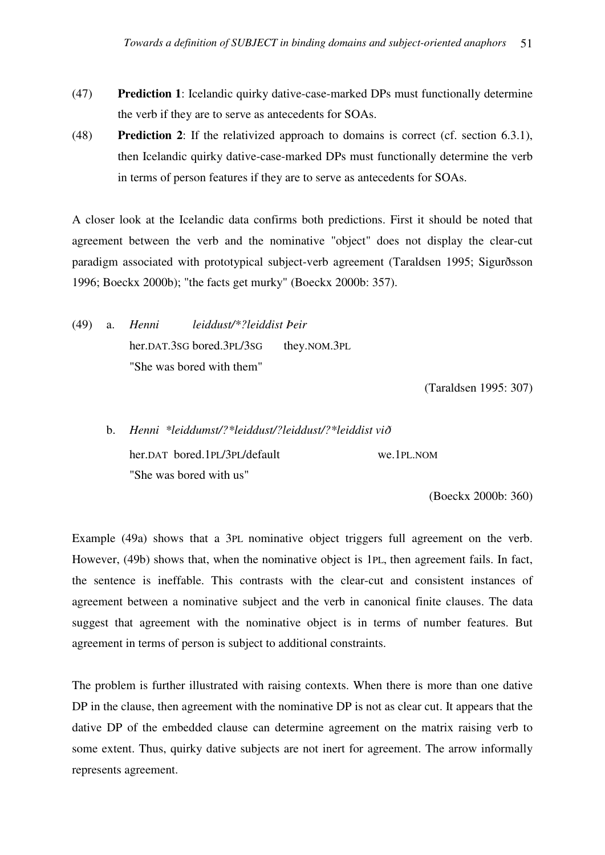- (47) **Prediction 1**: Icelandic quirky dative-case-marked DPs must functionally determine the verb if they are to serve as antecedents for SOAs.
- (48) **Prediction 2**: If the relativized approach to domains is correct (cf. section 6.3.1), then Icelandic quirky dative-case-marked DPs must functionally determine the verb in terms of person features if they are to serve as antecedents for SOAs.

A closer look at the Icelandic data confirms both predictions. First it should be noted that agreement between the verb and the nominative "object" does not display the clear-cut paradigm associated with prototypical subject-verb agreement (Taraldsen 1995; Sigurðsson 1996; Boeckx 2000b); "the facts get murky" (Boeckx 2000b: 357).

(49) a. *Henni leiddust/\*?leiddist Þeir*  her.DAT.3SG bored.3PL/3SG they.NOM.3PL "She was bored with them"

(Taraldsen 1995: 307)

 b. *Henni \*leiddumst/?\*leiddust/?leiddust/?\*leiddist vi*<sup>D</sup> her.DAT bored.1PL/3PL/default we.1PL.NOM "She was bored with us"

(Boeckx 2000b: 360)

Example (49a) shows that a 3PL nominative object triggers full agreement on the verb. However, (49b) shows that, when the nominative object is 1PL, then agreement fails. In fact, the sentence is ineffable. This contrasts with the clear-cut and consistent instances of agreement between a nominative subject and the verb in canonical finite clauses. The data suggest that agreement with the nominative object is in terms of number features. But agreement in terms of person is subject to additional constraints.

The problem is further illustrated with raising contexts. When there is more than one dative DP in the clause, then agreement with the nominative DP is not as clear cut. It appears that the dative DP of the embedded clause can determine agreement on the matrix raising verb to some extent. Thus, quirky dative subjects are not inert for agreement. The arrow informally represents agreement.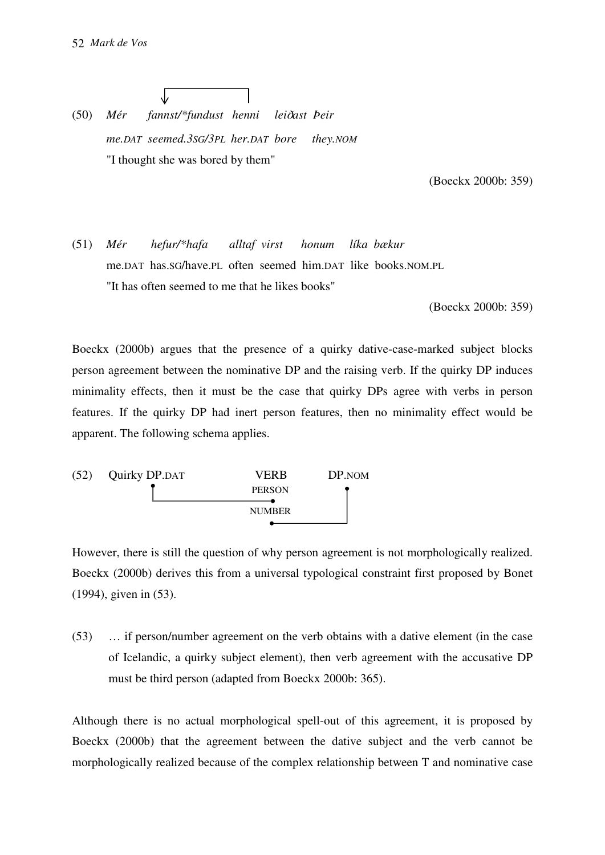(50) *Mér fannst/\*fundust henni lei*D*ast Þeir me.DAT seemed.3SG/3PL her.DAT bore they.NOM* "I thought she was bored by them"

(Boeckx 2000b: 359)

(51) *Mér hefur/\*hafa alltaf virst honum líka bækur*  me.DAT has.SG/have.PL often seemed him.DAT like books.NOM.PL "It has often seemed to me that he likes books"

(Boeckx 2000b: 359)

Boeckx (2000b) argues that the presence of a quirky dative-case-marked subject blocks person agreement between the nominative DP and the raising verb. If the quirky DP induces minimality effects, then it must be the case that quirky DPs agree with verbs in person features. If the quirky DP had inert person features, then no minimality effect would be apparent. The following schema applies.



However, there is still the question of why person agreement is not morphologically realized. Boeckx (2000b) derives this from a universal typological constraint first proposed by Bonet (1994), given in (53).

(53) … if person/number agreement on the verb obtains with a dative element (in the case of Icelandic, a quirky subject element), then verb agreement with the accusative DP must be third person (adapted from Boeckx 2000b: 365).

Although there is no actual morphological spell-out of this agreement, it is proposed by Boeckx (2000b) that the agreement between the dative subject and the verb cannot be morphologically realized because of the complex relationship between T and nominative case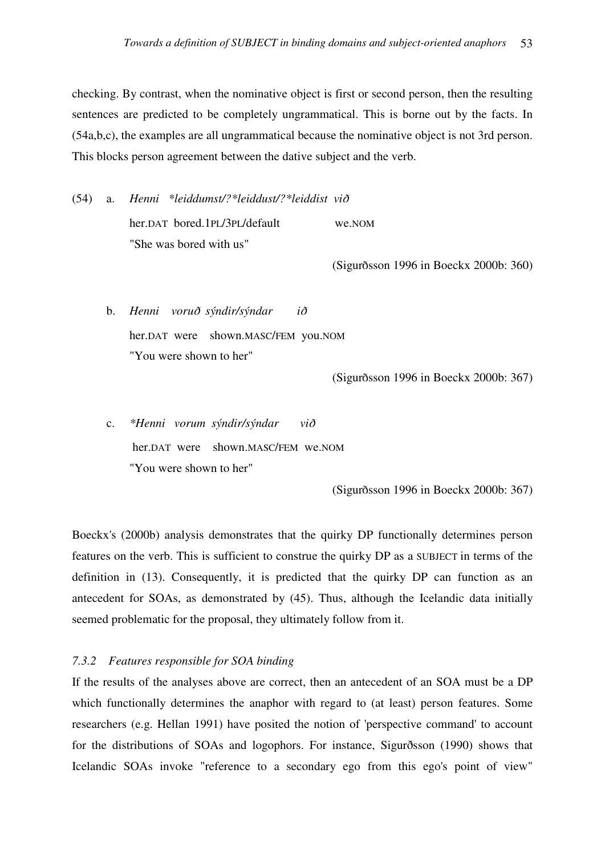checking. By contrast, when the nominative object is first or second person, then the resulting sentences are predicted to be completely ungrammatical. This is borne out by the facts. In (54a,b,c), the examples are all ungrammatical because the nominative object is not 3rd person. This blocks person agreement between the dative subject and the verb.

(54) a. *Henni \*leiddumst/?\*leiddust/?\*leiddist vi*<sup>D</sup> her.DAT bored.1PL/3PL/default we.NOM "She was bored with us"

(Sigurðsson 1996 in Boeckx 2000b: 360)

 b. *Henni voru*D *sýndir/sýndar i*<sup>D</sup> her.DAT were shown.MASC/FEM you.NOM "You were shown to her"

(Sigurðsson 1996 in Boeckx 2000b: 367)

 c. *\*Henni vorum sýndir/sýndar vi*<sup>D</sup> her.DAT were shown.MASC/FEM we.NOM "You were shown to her"

(Sigurðsson 1996 in Boeckx 2000b: 367)

Boeckx's (2000b) analysis demonstrates that the quirky DP functionally determines person features on the verb. This is sufficient to construe the quirky DP as a SUBJECT in terms of the definition in (13). Consequently, it is predicted that the quirky DP can function as an antecedent for SOAs, as demonstrated by (45). Thus, although the Icelandic data initially seemed problematic for the proposal, they ultimately follow from it.

#### *7.3.2 Features responsible for SOA binding*

If the results of the analyses above are correct, then an antecedent of an SOA must be a DP which functionally determines the anaphor with regard to (at least) person features. Some researchers (e.g. Hellan 1991) have posited the notion of 'perspective command' to account for the distributions of SOAs and logophors. For instance, Sigurðsson (1990) shows that Icelandic SOAs invoke "reference to a secondary ego from this ego's point of view"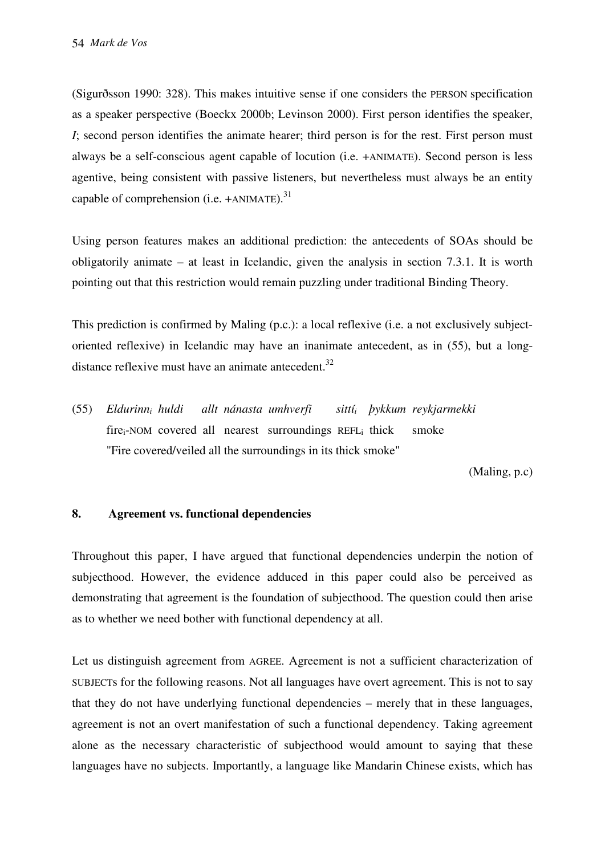(Sigurðsson 1990: 328). This makes intuitive sense if one considers the PERSON specification as a speaker perspective (Boeckx 2000b; Levinson 2000). First person identifies the speaker, *I*; second person identifies the animate hearer; third person is for the rest. First person must always be a self-conscious agent capable of locution (i.e. +ANIMATE). Second person is less agentive, being consistent with passive listeners, but nevertheless must always be an entity capable of comprehension (i.e.  $+ANIMATE$ ).<sup>31</sup>

Using person features makes an additional prediction: the antecedents of SOAs should be obligatorily animate – at least in Icelandic, given the analysis in section 7.3.1. It is worth pointing out that this restriction would remain puzzling under traditional Binding Theory.

This prediction is confirmed by Maling (p.c.): a local reflexive (i.e. a not exclusively subjectoriented reflexive) in Icelandic may have an inanimate antecedent, as in (55), but a longdistance reflexive must have an animate antecedent. $32$ 

(55) *Eldurinn<sup>i</sup> huldi allt nánasta umhverfi sittí<sup>i</sup> þykkum reykjarmekki* fire<sub>i</sub>-NOM covered all nearest surroundings REFL<sub>i</sub> thick smoke "Fire covered/veiled all the surroundings in its thick smoke"

(Maling, p.c)

# **8. Agreement vs. functional dependencies**

Throughout this paper, I have argued that functional dependencies underpin the notion of subjecthood. However, the evidence adduced in this paper could also be perceived as demonstrating that agreement is the foundation of subjecthood. The question could then arise as to whether we need bother with functional dependency at all.

Let us distinguish agreement from AGREE. Agreement is not a sufficient characterization of SUBJECTs for the following reasons. Not all languages have overt agreement. This is not to say that they do not have underlying functional dependencies – merely that in these languages, agreement is not an overt manifestation of such a functional dependency. Taking agreement alone as the necessary characteristic of subjecthood would amount to saying that these languages have no subjects. Importantly, a language like Mandarin Chinese exists, which has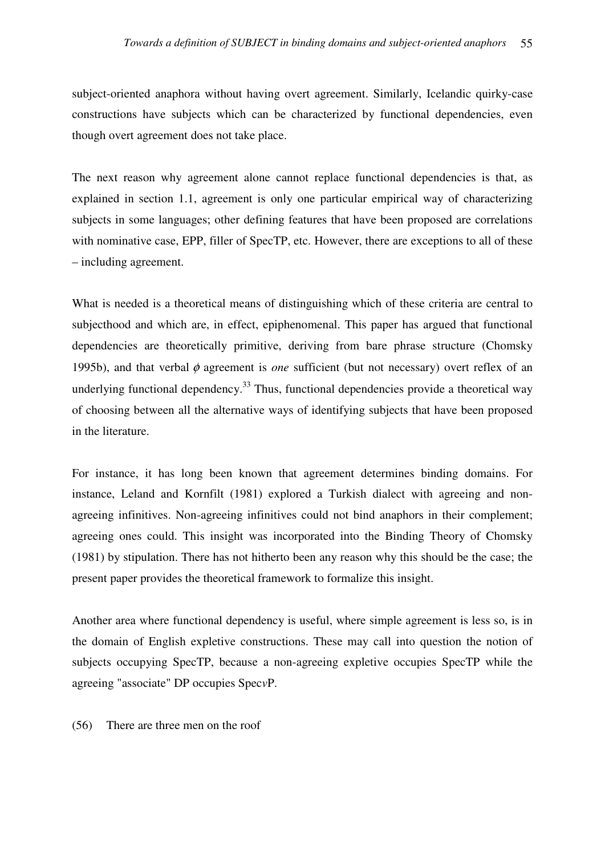subject-oriented anaphora without having overt agreement. Similarly, Icelandic quirky-case constructions have subjects which can be characterized by functional dependencies, even though overt agreement does not take place.

The next reason why agreement alone cannot replace functional dependencies is that, as explained in section 1.1, agreement is only one particular empirical way of characterizing subjects in some languages; other defining features that have been proposed are correlations with nominative case, EPP, filler of SpecTP, etc. However, there are exceptions to all of these – including agreement.

What is needed is a theoretical means of distinguishing which of these criteria are central to subjecthood and which are, in effect, epiphenomenal. This paper has argued that functional dependencies are theoretically primitive, deriving from bare phrase structure (Chomsky 1995b), and that verbal φ agreement is *one* sufficient (but not necessary) overt reflex of an underlying functional dependency.<sup>33</sup> Thus, functional dependencies provide a theoretical way of choosing between all the alternative ways of identifying subjects that have been proposed in the literature.

For instance, it has long been known that agreement determines binding domains. For instance, Leland and Kornfilt (1981) explored a Turkish dialect with agreeing and nonagreeing infinitives. Non-agreeing infinitives could not bind anaphors in their complement; agreeing ones could. This insight was incorporated into the Binding Theory of Chomsky (1981) by stipulation. There has not hitherto been any reason why this should be the case; the present paper provides the theoretical framework to formalize this insight.

Another area where functional dependency is useful, where simple agreement is less so, is in the domain of English expletive constructions. These may call into question the notion of subjects occupying SpecTP, because a non-agreeing expletive occupies SpecTP while the agreeing "associate" DP occupies Spec*v*P.

(56) There are three men on the roof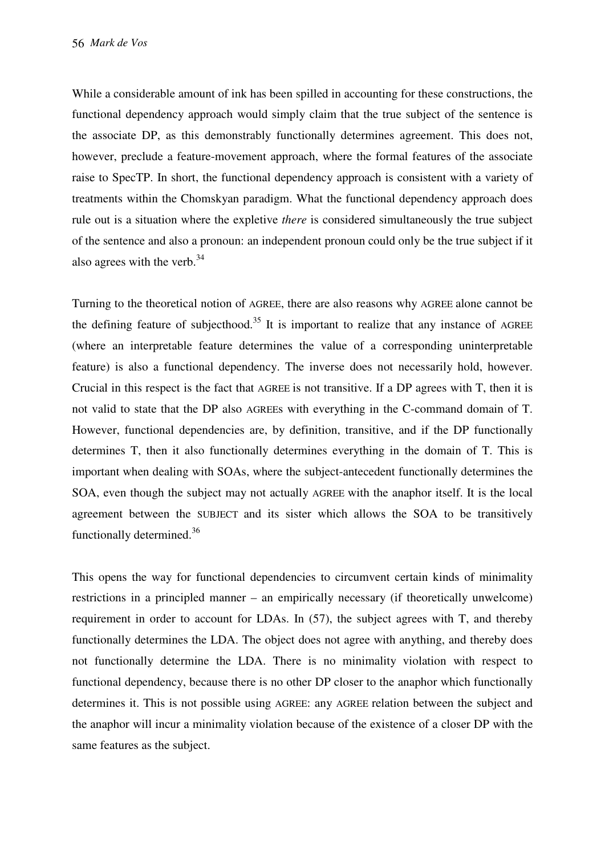While a considerable amount of ink has been spilled in accounting for these constructions, the functional dependency approach would simply claim that the true subject of the sentence is the associate DP, as this demonstrably functionally determines agreement. This does not, however, preclude a feature-movement approach, where the formal features of the associate raise to SpecTP. In short, the functional dependency approach is consistent with a variety of treatments within the Chomskyan paradigm. What the functional dependency approach does rule out is a situation where the expletive *there* is considered simultaneously the true subject of the sentence and also a pronoun: an independent pronoun could only be the true subject if it also agrees with the verb. $34$ 

Turning to the theoretical notion of AGREE, there are also reasons why AGREE alone cannot be the defining feature of subjecthood.<sup>35</sup> It is important to realize that any instance of  $AGREE$ (where an interpretable feature determines the value of a corresponding uninterpretable feature) is also a functional dependency. The inverse does not necessarily hold, however. Crucial in this respect is the fact that AGREE is not transitive. If a DP agrees with T, then it is not valid to state that the DP also AGREEs with everything in the C-command domain of T. However, functional dependencies are, by definition, transitive, and if the DP functionally determines T, then it also functionally determines everything in the domain of T. This is important when dealing with SOAs, where the subject-antecedent functionally determines the SOA, even though the subject may not actually AGREE with the anaphor itself. It is the local agreement between the SUBJECT and its sister which allows the SOA to be transitively functionally determined.<sup>36</sup>

This opens the way for functional dependencies to circumvent certain kinds of minimality restrictions in a principled manner – an empirically necessary (if theoretically unwelcome) requirement in order to account for LDAs. In (57), the subject agrees with T, and thereby functionally determines the LDA. The object does not agree with anything, and thereby does not functionally determine the LDA. There is no minimality violation with respect to functional dependency, because there is no other DP closer to the anaphor which functionally determines it. This is not possible using AGREE: any AGREE relation between the subject and the anaphor will incur a minimality violation because of the existence of a closer DP with the same features as the subject.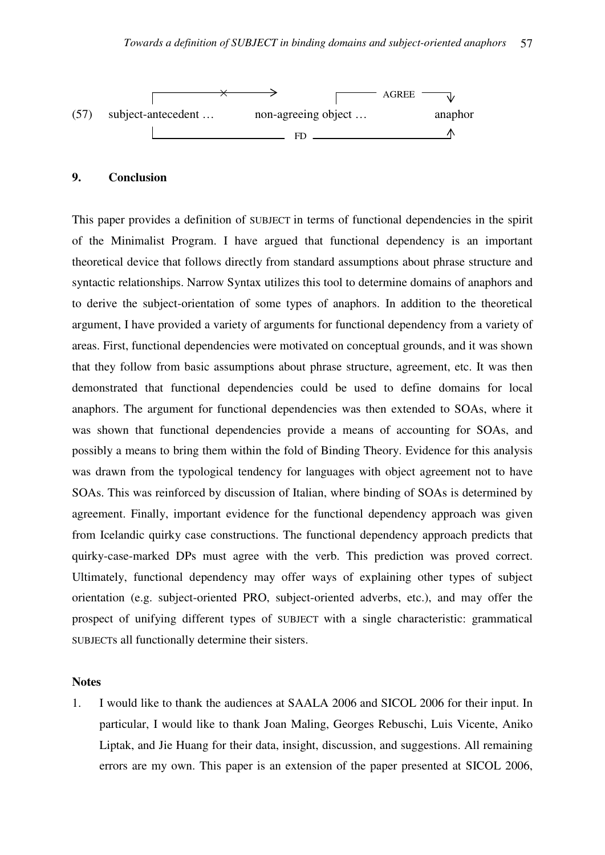

## **9. Conclusion**

This paper provides a definition of SUBJECT in terms of functional dependencies in the spirit of the Minimalist Program. I have argued that functional dependency is an important theoretical device that follows directly from standard assumptions about phrase structure and syntactic relationships. Narrow Syntax utilizes this tool to determine domains of anaphors and to derive the subject-orientation of some types of anaphors. In addition to the theoretical argument, I have provided a variety of arguments for functional dependency from a variety of areas. First, functional dependencies were motivated on conceptual grounds, and it was shown that they follow from basic assumptions about phrase structure, agreement, etc. It was then demonstrated that functional dependencies could be used to define domains for local anaphors. The argument for functional dependencies was then extended to SOAs, where it was shown that functional dependencies provide a means of accounting for SOAs, and possibly a means to bring them within the fold of Binding Theory. Evidence for this analysis was drawn from the typological tendency for languages with object agreement not to have SOAs. This was reinforced by discussion of Italian, where binding of SOAs is determined by agreement. Finally, important evidence for the functional dependency approach was given from Icelandic quirky case constructions. The functional dependency approach predicts that quirky-case-marked DPs must agree with the verb. This prediction was proved correct. Ultimately, functional dependency may offer ways of explaining other types of subject orientation (e.g. subject-oriented PRO, subject-oriented adverbs, etc.), and may offer the prospect of unifying different types of SUBJECT with a single characteristic: grammatical SUBJECTs all functionally determine their sisters.

#### **Notes**

1. I would like to thank the audiences at SAALA 2006 and SICOL 2006 for their input. In particular, I would like to thank Joan Maling, Georges Rebuschi, Luis Vicente, Aniko Liptak, and Jie Huang for their data, insight, discussion, and suggestions. All remaining errors are my own. This paper is an extension of the paper presented at SICOL 2006,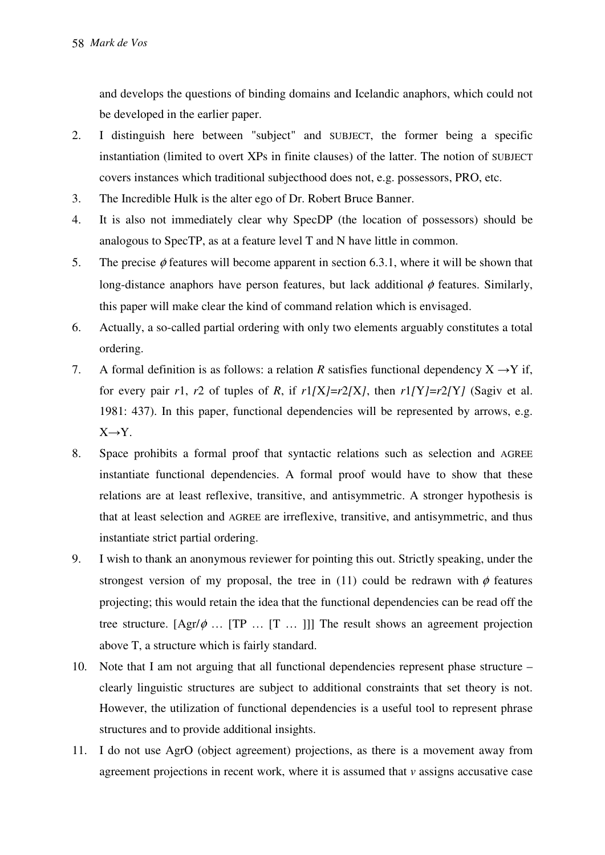and develops the questions of binding domains and Icelandic anaphors, which could not be developed in the earlier paper.

- 2. I distinguish here between "subject" and SUBJECT, the former being a specific instantiation (limited to overt XPs in finite clauses) of the latter. The notion of SUBJECT covers instances which traditional subjecthood does not, e.g. possessors, PRO, etc.
- 3. The Incredible Hulk is the alter ego of Dr. Robert Bruce Banner.
- 4. It is also not immediately clear why SpecDP (the location of possessors) should be analogous to SpecTP, as at a feature level T and N have little in common.
- 5. The precise  $\phi$  features will become apparent in section 6.3.1, where it will be shown that long-distance anaphors have person features, but lack additional  $\phi$  features. Similarly, this paper will make clear the kind of command relation which is envisaged.
- 6. Actually, a so-called partial ordering with only two elements arguably constitutes a total ordering.
- 7. A formal definition is as follows: a relation *R* satisfies functional dependency  $X \rightarrow Y$  if, for every pair  $r1$ ,  $r2$  of tuples of *R*, if  $r1/X$ *=r*2*[X]*, then  $r1/Y$ *=r*2*[Y]* (Sagiv et al. 1981: 437). In this paper, functional dependencies will be represented by arrows, e.g.  $X \rightarrow Y$ .
- 8. Space prohibits a formal proof that syntactic relations such as selection and AGREE instantiate functional dependencies. A formal proof would have to show that these relations are at least reflexive, transitive, and antisymmetric. A stronger hypothesis is that at least selection and AGREE are irreflexive, transitive, and antisymmetric, and thus instantiate strict partial ordering.
- 9. I wish to thank an anonymous reviewer for pointing this out. Strictly speaking, under the strongest version of my proposal, the tree in (11) could be redrawn with  $\phi$  features projecting; this would retain the idea that the functional dependencies can be read off the tree structure.  $[Agr/\phi \dots [TP \dots [T \dots]]]$  The result shows an agreement projection above T, a structure which is fairly standard.
- 10. Note that I am not arguing that all functional dependencies represent phase structure clearly linguistic structures are subject to additional constraints that set theory is not. However, the utilization of functional dependencies is a useful tool to represent phrase structures and to provide additional insights.
- 11. I do not use AgrO (object agreement) projections, as there is a movement away from agreement projections in recent work, where it is assumed that *v* assigns accusative case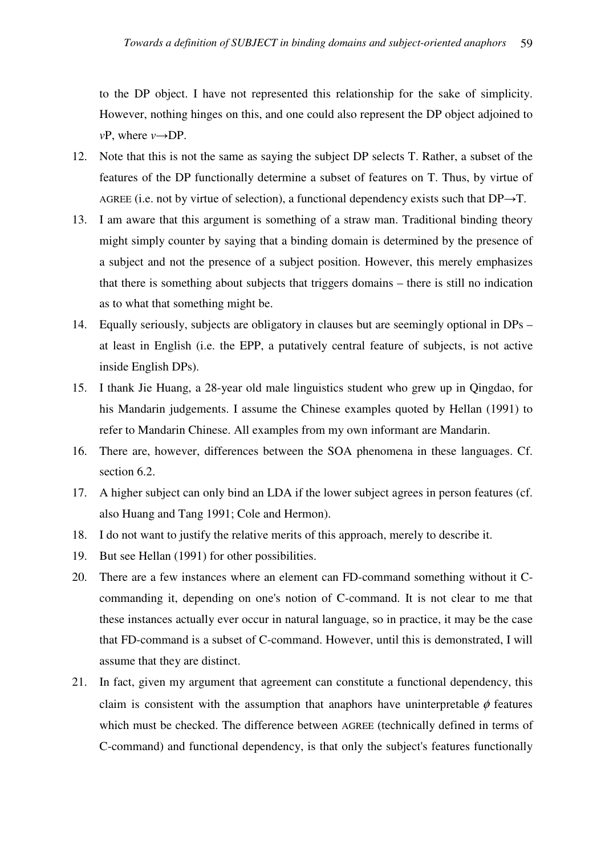to the DP object. I have not represented this relationship for the sake of simplicity. However, nothing hinges on this, and one could also represent the DP object adjoined to *v*P, where *v*→DP.

- 12. Note that this is not the same as saying the subject DP selects T. Rather, a subset of the features of the DP functionally determine a subset of features on T. Thus, by virtue of AGREE (i.e. not by virtue of selection), a functional dependency exists such that  $DP \rightarrow T$ .
- 13. I am aware that this argument is something of a straw man. Traditional binding theory might simply counter by saying that a binding domain is determined by the presence of a subject and not the presence of a subject position. However, this merely emphasizes that there is something about subjects that triggers domains – there is still no indication as to what that something might be.
- 14. Equally seriously, subjects are obligatory in clauses but are seemingly optional in DPs at least in English (i.e. the EPP, a putatively central feature of subjects, is not active inside English DPs).
- 15. I thank Jie Huang, a 28-year old male linguistics student who grew up in Qingdao, for his Mandarin judgements. I assume the Chinese examples quoted by Hellan (1991) to refer to Mandarin Chinese. All examples from my own informant are Mandarin.
- 16. There are, however, differences between the SOA phenomena in these languages. Cf. section 6.2.
- 17. A higher subject can only bind an LDA if the lower subject agrees in person features (cf. also Huang and Tang 1991; Cole and Hermon).
- 18. I do not want to justify the relative merits of this approach, merely to describe it.
- 19. But see Hellan (1991) for other possibilities.
- 20. There are a few instances where an element can FD-command something without it Ccommanding it, depending on one's notion of C-command. It is not clear to me that these instances actually ever occur in natural language, so in practice, it may be the case that FD-command is a subset of C-command. However, until this is demonstrated, I will assume that they are distinct.
- 21. In fact, given my argument that agreement can constitute a functional dependency, this claim is consistent with the assumption that anaphors have uninterpretable  $\phi$  features which must be checked. The difference between AGREE (technically defined in terms of C-command) and functional dependency, is that only the subject's features functionally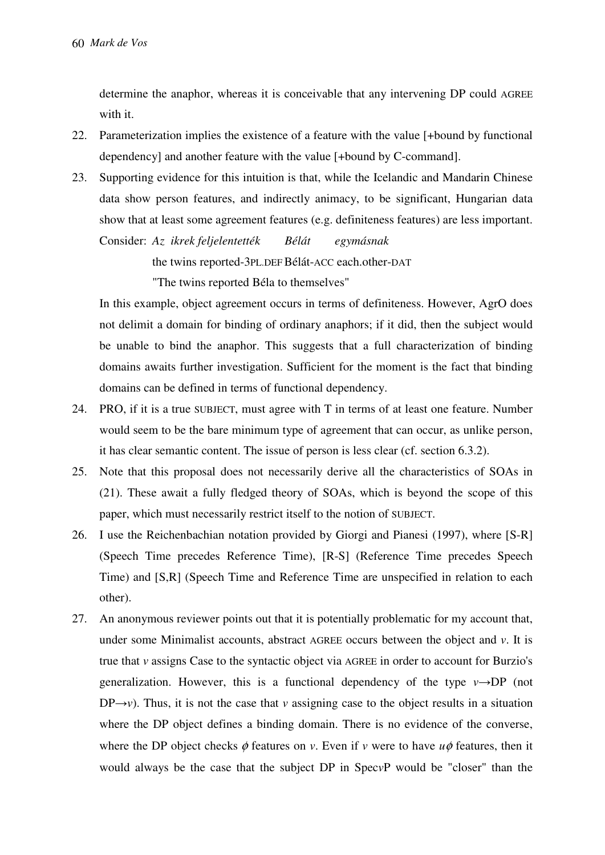determine the anaphor, whereas it is conceivable that any intervening DP could AGREE with it.

- 22. Parameterization implies the existence of a feature with the value [+bound by functional dependency] and another feature with the value [+bound by C-command].
- 23. Supporting evidence for this intuition is that, while the Icelandic and Mandarin Chinese data show person features, and indirectly animacy, to be significant, Hungarian data show that at least some agreement features (e.g. definiteness features) are less important. Consider: *Az ikrek feljelentették Bélát egymásnak*

the twins reported-3PL.DEF Bélát-ACC each.other-DAT

"The twins reported Béla to themselves"

In this example, object agreement occurs in terms of definiteness. However, AgrO does not delimit a domain for binding of ordinary anaphors; if it did, then the subject would be unable to bind the anaphor. This suggests that a full characterization of binding domains awaits further investigation. Sufficient for the moment is the fact that binding domains can be defined in terms of functional dependency.

- 24. PRO, if it is a true SUBJECT, must agree with T in terms of at least one feature. Number would seem to be the bare minimum type of agreement that can occur, as unlike person, it has clear semantic content. The issue of person is less clear (cf. section 6.3.2).
- 25. Note that this proposal does not necessarily derive all the characteristics of SOAs in (21). These await a fully fledged theory of SOAs, which is beyond the scope of this paper, which must necessarily restrict itself to the notion of SUBJECT.
- 26. I use the Reichenbachian notation provided by Giorgi and Pianesi (1997), where [S-R] (Speech Time precedes Reference Time), [R-S] (Reference Time precedes Speech Time) and [S,R] (Speech Time and Reference Time are unspecified in relation to each other).
- 27. An anonymous reviewer points out that it is potentially problematic for my account that, under some Minimalist accounts, abstract AGREE occurs between the object and *v*. It is true that *v* assigns Case to the syntactic object via AGREE in order to account for Burzio's generalization. However, this is a functional dependency of the type  $v \rightarrow DP$  (not  $DP\rightarrow v$ ). Thus, it is not the case that *v* assigning case to the object results in a situation where the DP object defines a binding domain. There is no evidence of the converse, where the DP object checks  $\phi$  features on *v*. Even if *v* were to have  $u\phi$  features, then it would always be the case that the subject DP in Spec*v*P would be "closer" than the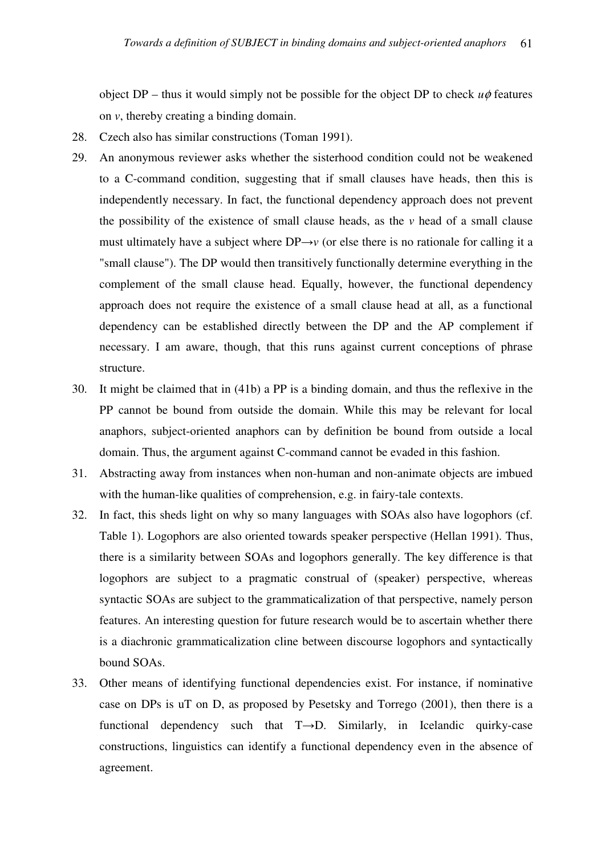object DP – thus it would simply not be possible for the object DP to check  $u\phi$  features on *v*, thereby creating a binding domain.

- 28. Czech also has similar constructions (Toman 1991).
- 29. An anonymous reviewer asks whether the sisterhood condition could not be weakened to a C-command condition, suggesting that if small clauses have heads, then this is independently necessary. In fact, the functional dependency approach does not prevent the possibility of the existence of small clause heads, as the *v* head of a small clause must ultimately have a subject where  $DP\rightarrow v$  (or else there is no rationale for calling it a "small clause"). The DP would then transitively functionally determine everything in the complement of the small clause head. Equally, however, the functional dependency approach does not require the existence of a small clause head at all, as a functional dependency can be established directly between the DP and the AP complement if necessary. I am aware, though, that this runs against current conceptions of phrase structure.
- 30. It might be claimed that in (41b) a PP is a binding domain, and thus the reflexive in the PP cannot be bound from outside the domain. While this may be relevant for local anaphors, subject-oriented anaphors can by definition be bound from outside a local domain. Thus, the argument against C-command cannot be evaded in this fashion.
- 31. Abstracting away from instances when non-human and non-animate objects are imbued with the human-like qualities of comprehension, e.g. in fairy-tale contexts.
- 32. In fact, this sheds light on why so many languages with SOAs also have logophors (cf. Table 1). Logophors are also oriented towards speaker perspective (Hellan 1991). Thus, there is a similarity between SOAs and logophors generally. The key difference is that logophors are subject to a pragmatic construal of (speaker) perspective, whereas syntactic SOAs are subject to the grammaticalization of that perspective, namely person features. An interesting question for future research would be to ascertain whether there is a diachronic grammaticalization cline between discourse logophors and syntactically bound SOAs.
- 33. Other means of identifying functional dependencies exist. For instance, if nominative case on DPs is uT on D, as proposed by Pesetsky and Torrego (2001), then there is a functional dependency such that T→D. Similarly, in Icelandic quirky-case constructions, linguistics can identify a functional dependency even in the absence of agreement.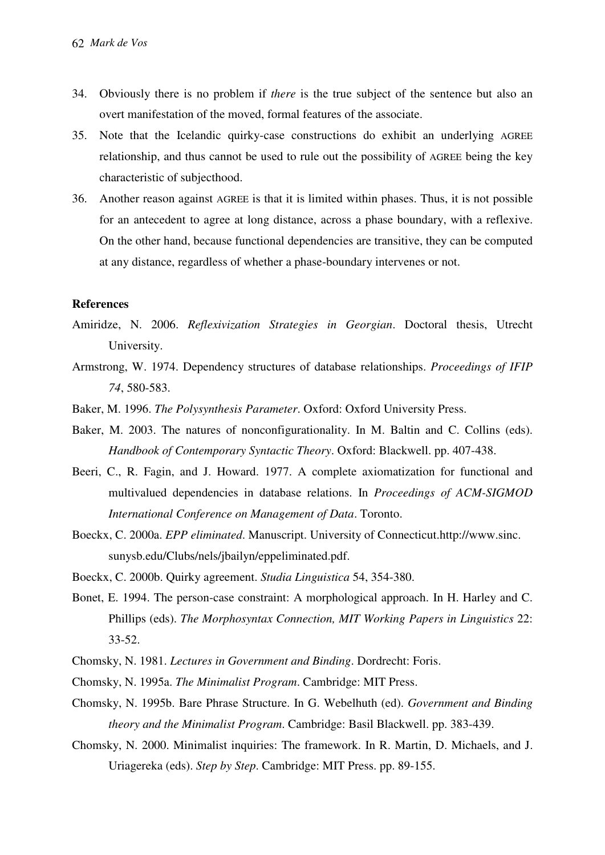- 34. Obviously there is no problem if *there* is the true subject of the sentence but also an overt manifestation of the moved, formal features of the associate.
- 35. Note that the Icelandic quirky-case constructions do exhibit an underlying AGREE relationship, and thus cannot be used to rule out the possibility of AGREE being the key characteristic of subjecthood.
- 36. Another reason against AGREE is that it is limited within phases. Thus, it is not possible for an antecedent to agree at long distance, across a phase boundary, with a reflexive. On the other hand, because functional dependencies are transitive, they can be computed at any distance, regardless of whether a phase-boundary intervenes or not.

#### **References**

- Amiridze, N. 2006. *Reflexivization Strategies in Georgian*. Doctoral thesis, Utrecht University.
- Armstrong, W. 1974. Dependency structures of database relationships. *Proceedings of IFIP 74*, 580-583.
- Baker, M. 1996. *The Polysynthesis Parameter*. Oxford: Oxford University Press.
- Baker, M. 2003. The natures of nonconfigurationality. In M. Baltin and C. Collins (eds). *Handbook of Contemporary Syntactic Theory*. Oxford: Blackwell. pp. 407-438.
- Beeri, C., R. Fagin, and J. Howard. 1977. A complete axiomatization for functional and multivalued dependencies in database relations. In *Proceedings of ACM-SIGMOD International Conference on Management of Data*. Toronto.
- Boeckx, C. 2000a. *EPP eliminated*. Manuscript. University of Connecticut.http://www.sinc. sunysb.edu/Clubs/nels/jbailyn/eppeliminated.pdf.
- Boeckx, C. 2000b. Quirky agreement. *Studia Linguistica* 54, 354-380.
- Bonet, E. 1994. The person-case constraint: A morphological approach. In H. Harley and C. Phillips (eds). *The Morphosyntax Connection, MIT Working Papers in Linguistics* 22: 33-52.
- Chomsky, N. 1981. *Lectures in Government and Binding*. Dordrecht: Foris.
- Chomsky, N. 1995a. *The Minimalist Program*. Cambridge: MIT Press.
- Chomsky, N. 1995b. Bare Phrase Structure. In G. Webelhuth (ed). *Government and Binding theory and the Minimalist Program*. Cambridge: Basil Blackwell. pp. 383-439.
- Chomsky, N. 2000. Minimalist inquiries: The framework. In R. Martin, D. Michaels, and J. Uriagereka (eds). *Step by Step*. Cambridge: MIT Press. pp. 89-155.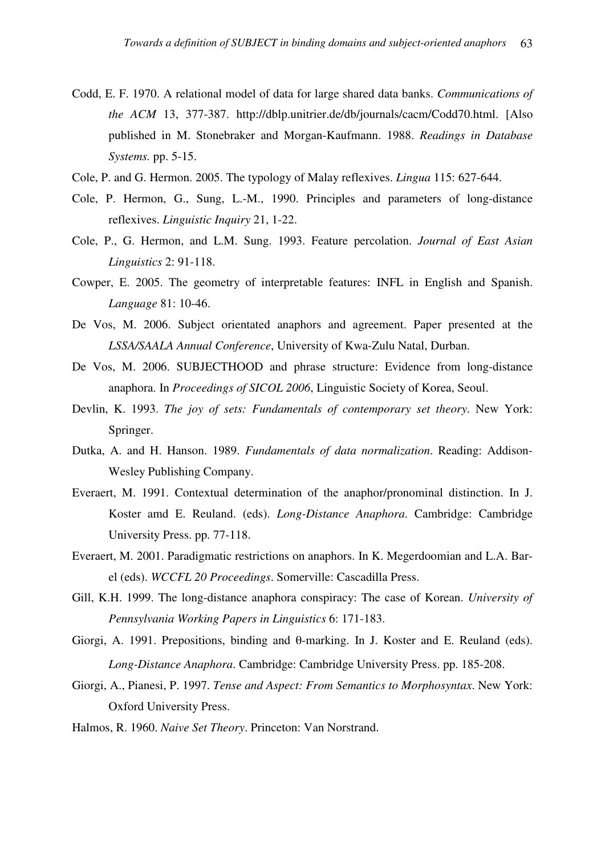- Codd, E. F. 1970. A relational model of data for large shared data banks. *Communications of the ACM* 13, 377-387. http://dblp.unitrier.de/db/journals/cacm/Codd70.html. [Also published in M. Stonebraker and Morgan-Kaufmann. 1988. *Readings in Database Systems.* pp. 5-15.
- Cole, P. and G. Hermon. 2005. The typology of Malay reflexives. *Lingua* 115: 627-644.
- Cole, P. Hermon, G., Sung, L.-M., 1990. Principles and parameters of long-distance reflexives. *Linguistic Inquiry* 21, 1-22.
- Cole, P., G. Hermon, and L.M. Sung. 1993. Feature percolation. *Journal of East Asian Linguistics* 2: 91-118.
- Cowper, E. 2005. The geometry of interpretable features: INFL in English and Spanish. *Language* 81: 10-46.
- De Vos, M. 2006. Subject orientated anaphors and agreement. Paper presented at the *LSSA/SAALA Annual Conference*, University of Kwa-Zulu Natal, Durban.
- De Vos, M. 2006. SUBJECTHOOD and phrase structure: Evidence from long-distance anaphora. In *Proceedings of SICOL 2006*, Linguistic Society of Korea, Seoul.
- Devlin, K. 1993. *The joy of sets: Fundamentals of contemporary set theory*. New York: Springer.
- Dutka, A. and H. Hanson. 1989. *Fundamentals of data normalization*. Reading: Addison-Wesley Publishing Company.
- Everaert, M. 1991. Contextual determination of the anaphor/pronominal distinction. In J. Koster amd E. Reuland. (eds). *Long-Distance Anaphora*. Cambridge: Cambridge University Press. pp. 77-118.
- Everaert, M. 2001. Paradigmatic restrictions on anaphors. In K. Megerdoomian and L.A. Barel (eds). *WCCFL 20 Proceedings*. Somerville: Cascadilla Press.
- Gill, K.H. 1999. The long-distance anaphora conspiracy: The case of Korean. *University of Pennsylvania Working Papers in Linguistics* 6: 171-183.
- Giorgi, A. 1991. Prepositions, binding and  $\theta$ -marking. In J. Koster and E. Reuland (eds). *Long-Distance Anaphora*. Cambridge: Cambridge University Press. pp. 185-208.
- Giorgi, A., Pianesi, P. 1997. *Tense and Aspect: From Semantics to Morphosyntax*. New York: Oxford University Press.
- Halmos, R. 1960. *Naive Set Theory*. Princeton: Van Norstrand.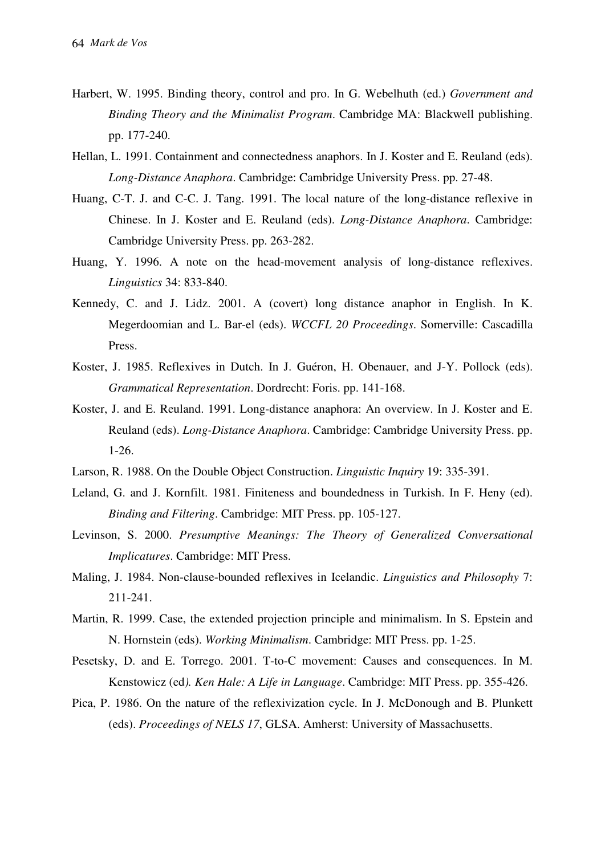- Harbert, W. 1995. Binding theory, control and pro. In G. Webelhuth (ed.) *Government and Binding Theory and the Minimalist Program*. Cambridge MA: Blackwell publishing. pp. 177-240.
- Hellan, L. 1991. Containment and connectedness anaphors. In J. Koster and E. Reuland (eds). *Long-Distance Anaphora*. Cambridge: Cambridge University Press. pp. 27-48.
- Huang, C-T. J. and C-C. J. Tang. 1991. The local nature of the long-distance reflexive in Chinese. In J. Koster and E. Reuland (eds). *Long-Distance Anaphora*. Cambridge: Cambridge University Press. pp. 263-282.
- Huang, Y. 1996. A note on the head-movement analysis of long-distance reflexives. *Linguistics* 34: 833-840.
- Kennedy, C. and J. Lidz. 2001. A (covert) long distance anaphor in English. In K. Megerdoomian and L. Bar-el (eds). *WCCFL 20 Proceedings*. Somerville: Cascadilla Press.
- Koster, J. 1985. Reflexives in Dutch. In J. Guéron, H. Obenauer, and J-Y. Pollock (eds). *Grammatical Representation*. Dordrecht: Foris. pp. 141-168.
- Koster, J. and E. Reuland. 1991. Long-distance anaphora: An overview. In J. Koster and E. Reuland (eds). *Long-Distance Anaphora*. Cambridge: Cambridge University Press. pp. 1-26.
- Larson, R. 1988. On the Double Object Construction. *Linguistic Inquiry* 19: 335-391.
- Leland, G. and J. Kornfilt. 1981. Finiteness and boundedness in Turkish. In F. Heny (ed). *Binding and Filtering*. Cambridge: MIT Press. pp. 105-127.
- Levinson, S. 2000. *Presumptive Meanings: The Theory of Generalized Conversational Implicatures*. Cambridge: MIT Press.
- Maling, J. 1984. Non-clause-bounded reflexives in Icelandic. *Linguistics and Philosophy* 7: 211-241.
- Martin, R. 1999. Case, the extended projection principle and minimalism. In S. Epstein and N. Hornstein (eds). *Working Minimalism*. Cambridge: MIT Press. pp. 1-25.
- Pesetsky, D. and E. Torrego. 2001. T-to-C movement: Causes and consequences. In M. Kenstowicz (ed*). Ken Hale: A Life in Language*. Cambridge: MIT Press. pp. 355-426.
- Pica, P. 1986. On the nature of the reflexivization cycle. In J. McDonough and B. Plunkett (eds). *Proceedings of NELS 17*, GLSA. Amherst: University of Massachusetts.